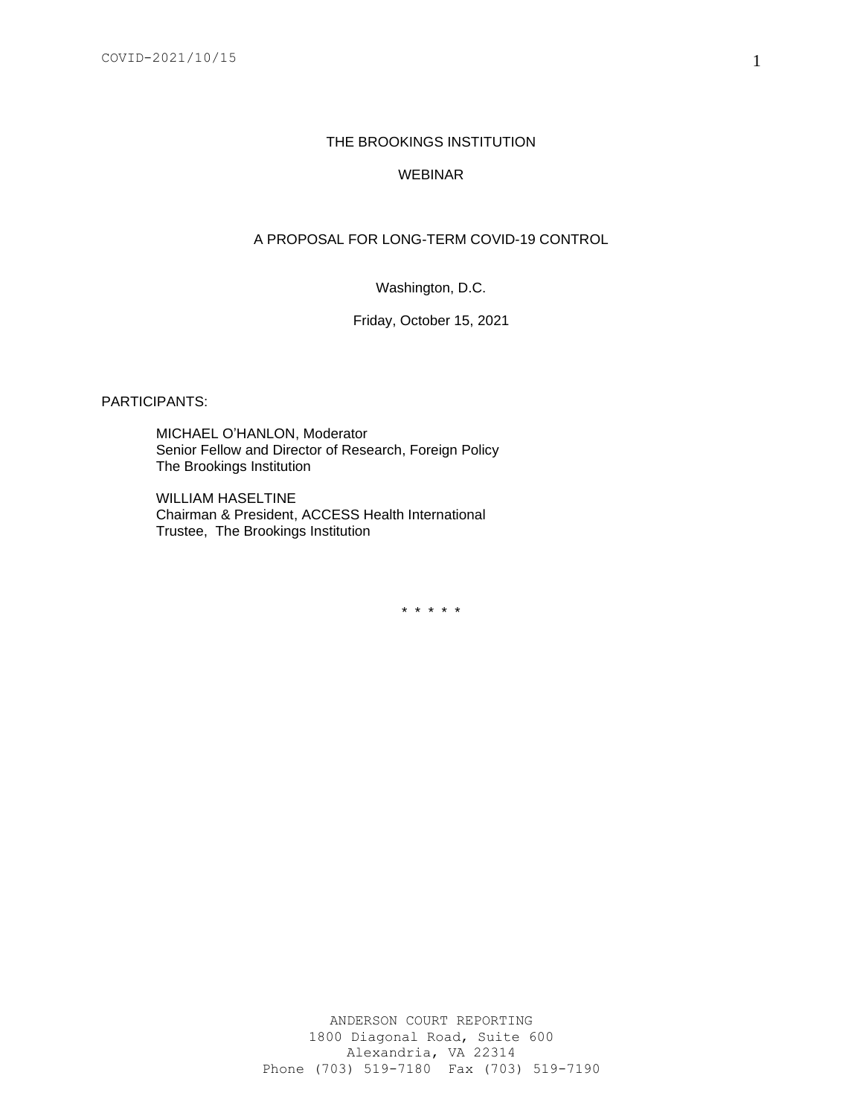#### THE BROOKINGS INSTITUTION

### WEBINAR

## A PROPOSAL FOR LONG-TERM COVID-19 CONTROL

Washington, D.C.

#### Friday, October 15, 2021

PARTICIPANTS:

MICHAEL O'HANLON, Moderator Senior Fellow and Director of Research, Foreign Policy The Brookings Institution

WILLIAM HASELTINE Chairman & President, ACCESS Health International Trustee, The Brookings Institution

\* \* \* \* \*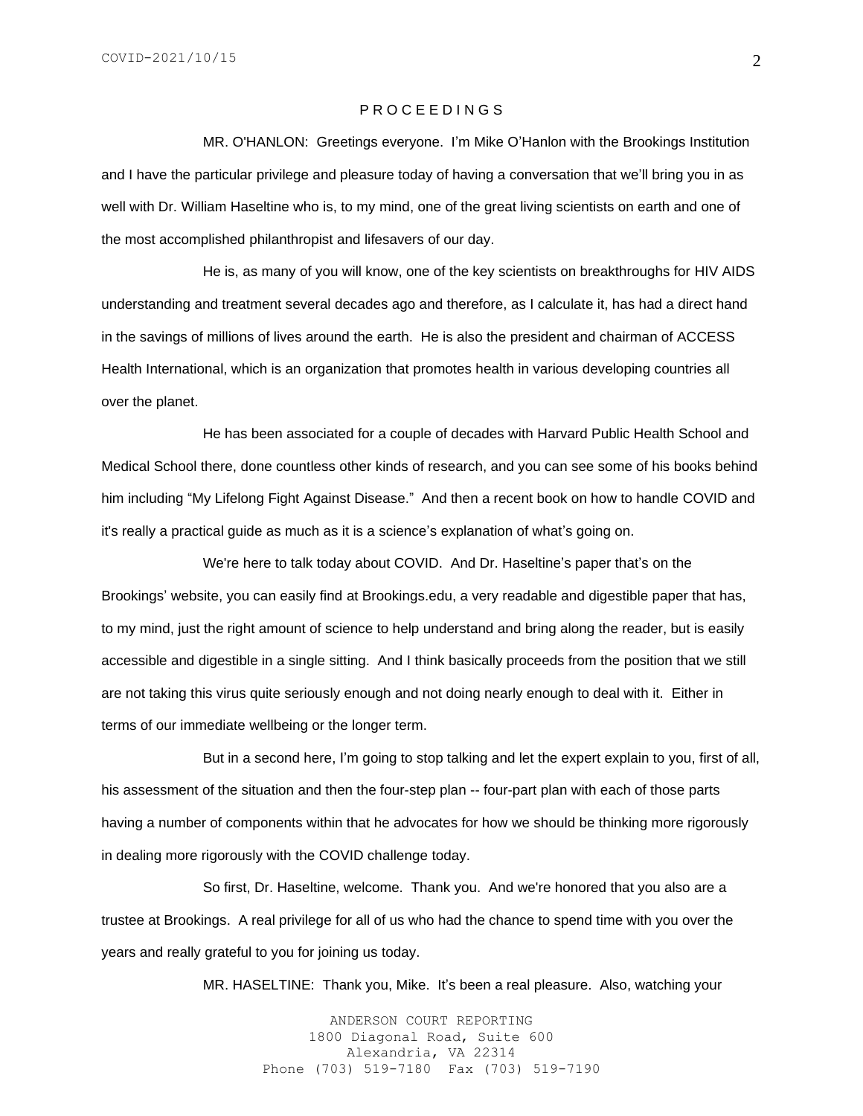#### P R O C E E D I N G S

MR. O'HANLON: Greetings everyone. I'm Mike O'Hanlon with the Brookings Institution and I have the particular privilege and pleasure today of having a conversation that we'll bring you in as well with Dr. William Haseltine who is, to my mind, one of the great living scientists on earth and one of the most accomplished philanthropist and lifesavers of our day.

He is, as many of you will know, one of the key scientists on breakthroughs for HIV AIDS understanding and treatment several decades ago and therefore, as I calculate it, has had a direct hand in the savings of millions of lives around the earth. He is also the president and chairman of ACCESS Health International, which is an organization that promotes health in various developing countries all over the planet.

He has been associated for a couple of decades with Harvard Public Health School and Medical School there, done countless other kinds of research, and you can see some of his books behind him including "My Lifelong Fight Against Disease." And then a recent book on how to handle COVID and it's really a practical guide as much as it is a science's explanation of what's going on.

We're here to talk today about COVID. And Dr. Haseltine's paper that's on the Brookings' website, you can easily find at Brookings.edu, a very readable and digestible paper that has, to my mind, just the right amount of science to help understand and bring along the reader, but is easily accessible and digestible in a single sitting. And I think basically proceeds from the position that we still are not taking this virus quite seriously enough and not doing nearly enough to deal with it. Either in terms of our immediate wellbeing or the longer term.

But in a second here, I'm going to stop talking and let the expert explain to you, first of all, his assessment of the situation and then the four-step plan -- four-part plan with each of those parts having a number of components within that he advocates for how we should be thinking more rigorously in dealing more rigorously with the COVID challenge today.

So first, Dr. Haseltine, welcome. Thank you. And we're honored that you also are a trustee at Brookings. A real privilege for all of us who had the chance to spend time with you over the years and really grateful to you for joining us today.

MR. HASELTINE: Thank you, Mike. It's been a real pleasure. Also, watching your

ANDERSON COURT REPORTING 1800 Diagonal Road, Suite 600 Alexandria, VA 22314 Phone (703) 519-7180 Fax (703) 519-7190 2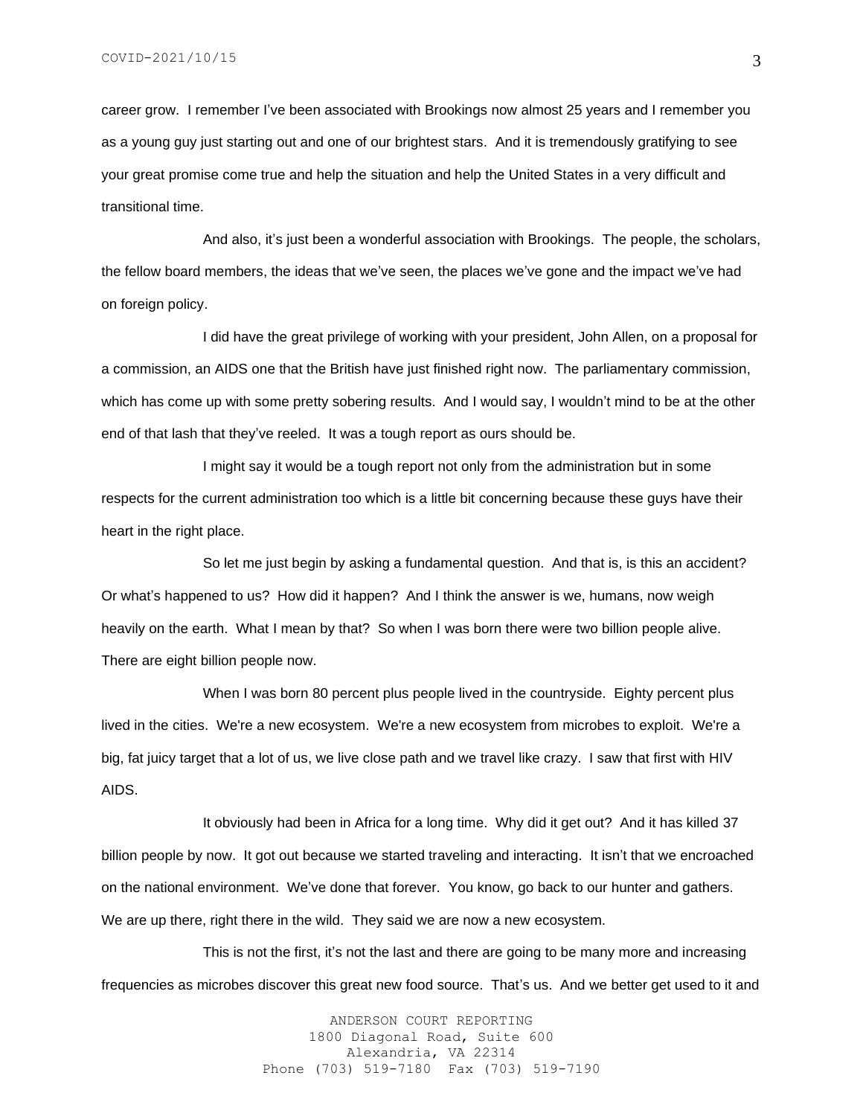career grow. I remember I've been associated with Brookings now almost 25 years and I remember you as a young guy just starting out and one of our brightest stars. And it is tremendously gratifying to see your great promise come true and help the situation and help the United States in a very difficult and transitional time.

And also, it's just been a wonderful association with Brookings. The people, the scholars, the fellow board members, the ideas that we've seen, the places we've gone and the impact we've had on foreign policy.

I did have the great privilege of working with your president, John Allen, on a proposal for a commission, an AIDS one that the British have just finished right now. The parliamentary commission, which has come up with some pretty sobering results. And I would say, I wouldn't mind to be at the other end of that lash that they've reeled. It was a tough report as ours should be.

I might say it would be a tough report not only from the administration but in some respects for the current administration too which is a little bit concerning because these guys have their heart in the right place.

So let me just begin by asking a fundamental question. And that is, is this an accident? Or what's happened to us? How did it happen? And I think the answer is we, humans, now weigh heavily on the earth. What I mean by that? So when I was born there were two billion people alive. There are eight billion people now.

When I was born 80 percent plus people lived in the countryside. Eighty percent plus lived in the cities. We're a new ecosystem. We're a new ecosystem from microbes to exploit. We're a big, fat juicy target that a lot of us, we live close path and we travel like crazy. I saw that first with HIV AIDS.

It obviously had been in Africa for a long time. Why did it get out? And it has killed 37 billion people by now. It got out because we started traveling and interacting. It isn't that we encroached on the national environment. We've done that forever. You know, go back to our hunter and gathers. We are up there, right there in the wild. They said we are now a new ecosystem.

This is not the first, it's not the last and there are going to be many more and increasing frequencies as microbes discover this great new food source. That's us. And we better get used to it and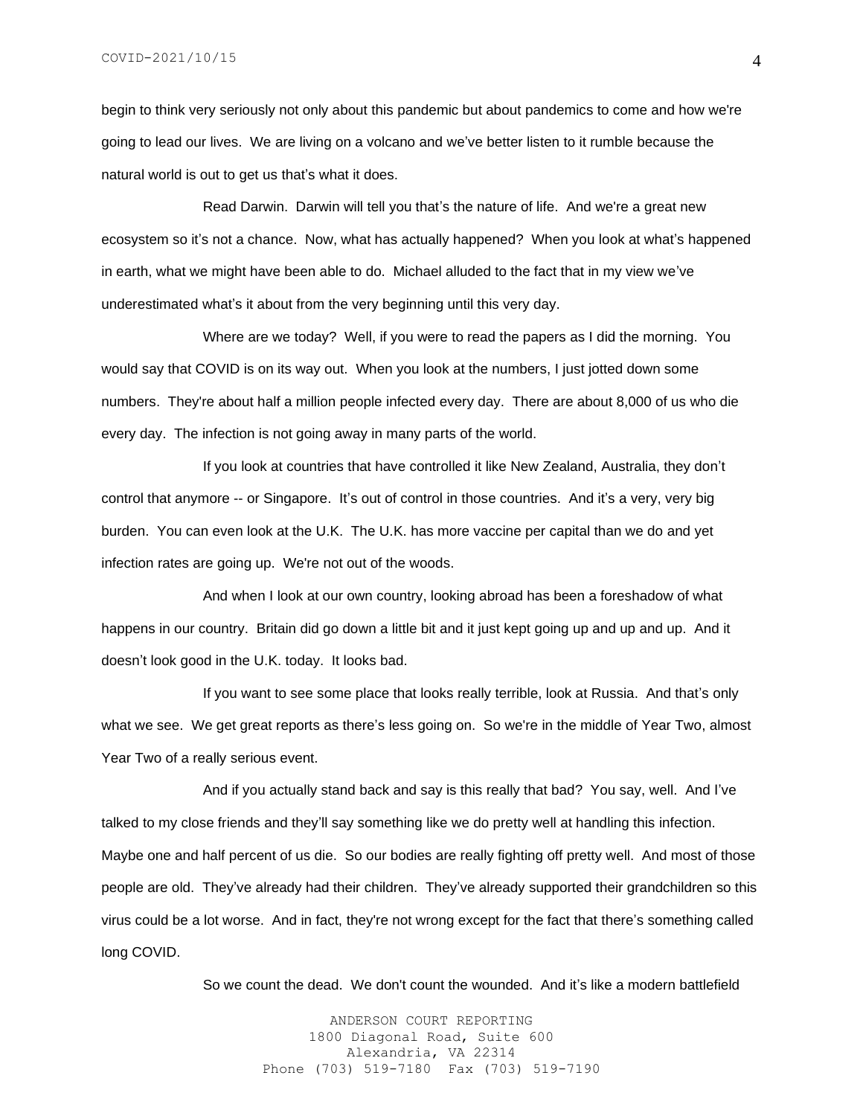begin to think very seriously not only about this pandemic but about pandemics to come and how we're going to lead our lives. We are living on a volcano and we've better listen to it rumble because the natural world is out to get us that's what it does.

Read Darwin. Darwin will tell you that's the nature of life. And we're a great new ecosystem so it's not a chance. Now, what has actually happened? When you look at what's happened in earth, what we might have been able to do. Michael alluded to the fact that in my view we've underestimated what's it about from the very beginning until this very day.

Where are we today? Well, if you were to read the papers as I did the morning. You would say that COVID is on its way out. When you look at the numbers, I just jotted down some numbers. They're about half a million people infected every day. There are about 8,000 of us who die every day. The infection is not going away in many parts of the world.

If you look at countries that have controlled it like New Zealand, Australia, they don't control that anymore -- or Singapore. It's out of control in those countries. And it's a very, very big burden. You can even look at the U.K. The U.K. has more vaccine per capital than we do and yet infection rates are going up. We're not out of the woods.

And when I look at our own country, looking abroad has been a foreshadow of what happens in our country. Britain did go down a little bit and it just kept going up and up and up. And it doesn't look good in the U.K. today. It looks bad.

If you want to see some place that looks really terrible, look at Russia. And that's only what we see. We get great reports as there's less going on. So we're in the middle of Year Two, almost Year Two of a really serious event.

And if you actually stand back and say is this really that bad? You say, well. And I've talked to my close friends and they'll say something like we do pretty well at handling this infection. Maybe one and half percent of us die. So our bodies are really fighting off pretty well. And most of those people are old. They've already had their children. They've already supported their grandchildren so this virus could be a lot worse. And in fact, they're not wrong except for the fact that there's something called long COVID.

So we count the dead. We don't count the wounded. And it's like a modern battlefield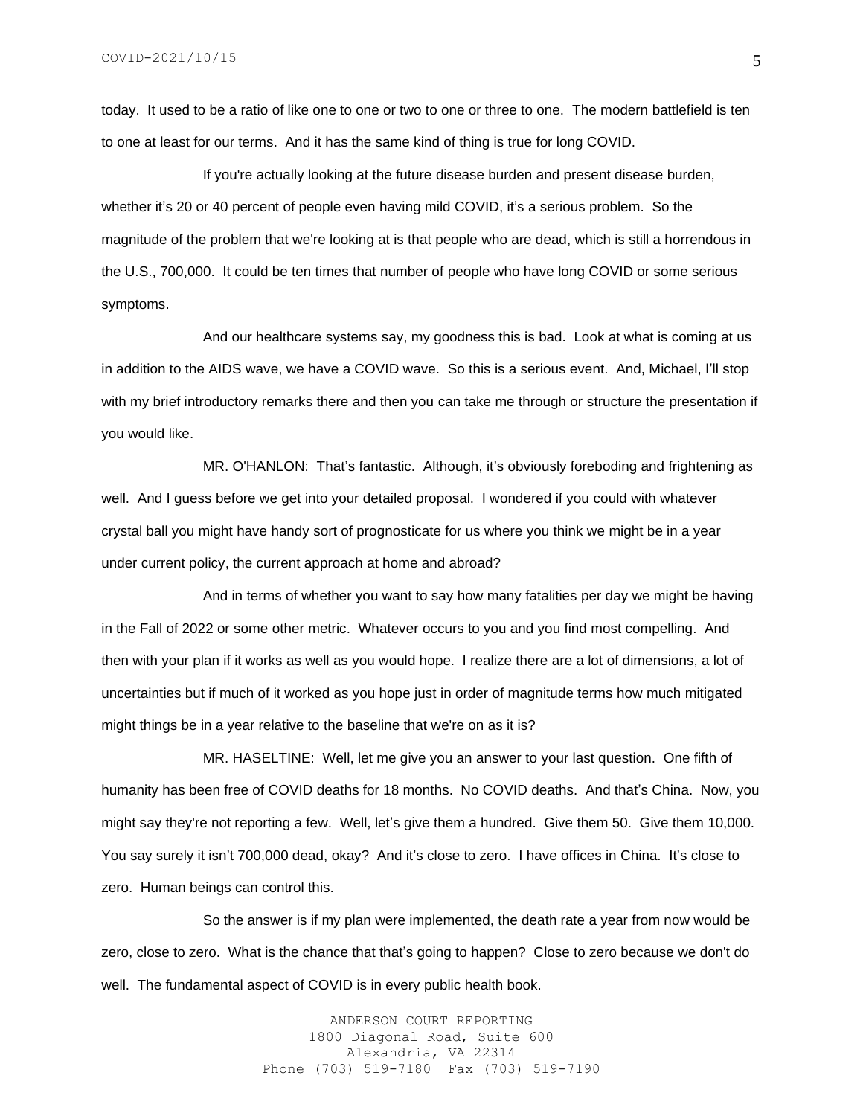today. It used to be a ratio of like one to one or two to one or three to one. The modern battlefield is ten to one at least for our terms. And it has the same kind of thing is true for long COVID.

If you're actually looking at the future disease burden and present disease burden, whether it's 20 or 40 percent of people even having mild COVID, it's a serious problem. So the magnitude of the problem that we're looking at is that people who are dead, which is still a horrendous in the U.S., 700,000. It could be ten times that number of people who have long COVID or some serious symptoms.

And our healthcare systems say, my goodness this is bad. Look at what is coming at us in addition to the AIDS wave, we have a COVID wave. So this is a serious event. And, Michael, I'll stop with my brief introductory remarks there and then you can take me through or structure the presentation if you would like.

MR. O'HANLON: That's fantastic. Although, it's obviously foreboding and frightening as well. And I guess before we get into your detailed proposal. I wondered if you could with whatever crystal ball you might have handy sort of prognosticate for us where you think we might be in a year under current policy, the current approach at home and abroad?

And in terms of whether you want to say how many fatalities per day we might be having in the Fall of 2022 or some other metric. Whatever occurs to you and you find most compelling. And then with your plan if it works as well as you would hope. I realize there are a lot of dimensions, a lot of uncertainties but if much of it worked as you hope just in order of magnitude terms how much mitigated might things be in a year relative to the baseline that we're on as it is?

MR. HASELTINE: Well, let me give you an answer to your last question. One fifth of humanity has been free of COVID deaths for 18 months. No COVID deaths. And that's China. Now, you might say they're not reporting a few. Well, let's give them a hundred. Give them 50. Give them 10,000. You say surely it isn't 700,000 dead, okay? And it's close to zero. I have offices in China. It's close to zero. Human beings can control this.

So the answer is if my plan were implemented, the death rate a year from now would be zero, close to zero. What is the chance that that's going to happen? Close to zero because we don't do well. The fundamental aspect of COVID is in every public health book.

> ANDERSON COURT REPORTING 1800 Diagonal Road, Suite 600 Alexandria, VA 22314 Phone (703) 519-7180 Fax (703) 519-7190

5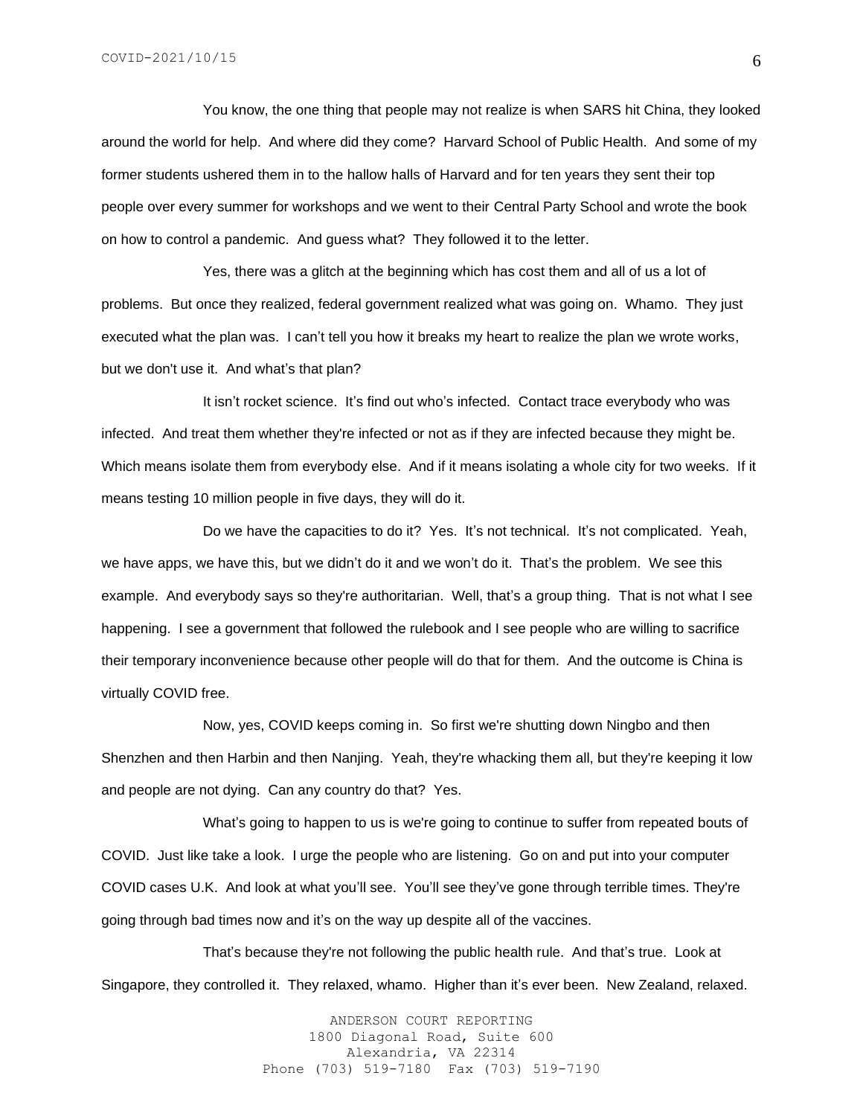You know, the one thing that people may not realize is when SARS hit China, they looked around the world for help. And where did they come? Harvard School of Public Health. And some of my former students ushered them in to the hallow halls of Harvard and for ten years they sent their top people over every summer for workshops and we went to their Central Party School and wrote the book on how to control a pandemic. And guess what? They followed it to the letter.

Yes, there was a glitch at the beginning which has cost them and all of us a lot of problems. But once they realized, federal government realized what was going on. Whamo. They just executed what the plan was. I can't tell you how it breaks my heart to realize the plan we wrote works, but we don't use it. And what's that plan?

It isn't rocket science. It's find out who's infected. Contact trace everybody who was infected. And treat them whether they're infected or not as if they are infected because they might be. Which means isolate them from everybody else. And if it means isolating a whole city for two weeks. If it means testing 10 million people in five days, they will do it.

Do we have the capacities to do it? Yes. It's not technical. It's not complicated. Yeah, we have apps, we have this, but we didn't do it and we won't do it. That's the problem. We see this example. And everybody says so they're authoritarian. Well, that's a group thing. That is not what I see happening. I see a government that followed the rulebook and I see people who are willing to sacrifice their temporary inconvenience because other people will do that for them. And the outcome is China is virtually COVID free.

Now, yes, COVID keeps coming in. So first we're shutting down Ningbo and then Shenzhen and then Harbin and then Nanjing. Yeah, they're whacking them all, but they're keeping it low and people are not dying. Can any country do that? Yes.

What's going to happen to us is we're going to continue to suffer from repeated bouts of COVID. Just like take a look. I urge the people who are listening. Go on and put into your computer COVID cases U.K. And look at what you'll see. You'll see they've gone through terrible times. They're going through bad times now and it's on the way up despite all of the vaccines.

That's because they're not following the public health rule. And that's true. Look at Singapore, they controlled it. They relaxed, whamo. Higher than it's ever been. New Zealand, relaxed.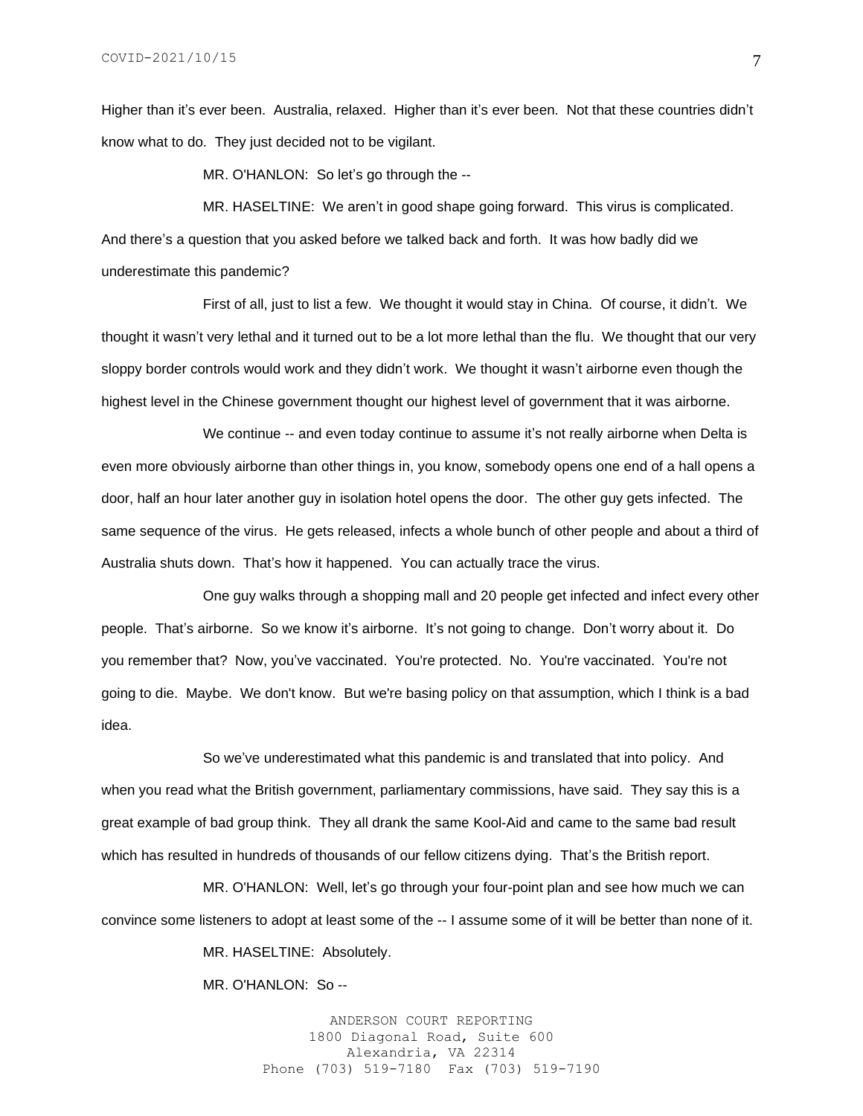Higher than it's ever been. Australia, relaxed. Higher than it's ever been. Not that these countries didn't know what to do. They just decided not to be vigilant.

MR. O'HANLON: So let's go through the --

MR. HASELTINE: We aren't in good shape going forward. This virus is complicated. And there's a question that you asked before we talked back and forth. It was how badly did we underestimate this pandemic?

First of all, just to list a few. We thought it would stay in China. Of course, it didn't. We thought it wasn't very lethal and it turned out to be a lot more lethal than the flu. We thought that our very sloppy border controls would work and they didn't work. We thought it wasn't airborne even though the highest level in the Chinese government thought our highest level of government that it was airborne.

We continue -- and even today continue to assume it's not really airborne when Delta is even more obviously airborne than other things in, you know, somebody opens one end of a hall opens a door, half an hour later another guy in isolation hotel opens the door. The other guy gets infected. The same sequence of the virus. He gets released, infects a whole bunch of other people and about a third of Australia shuts down. That's how it happened. You can actually trace the virus.

One guy walks through a shopping mall and 20 people get infected and infect every other people. That's airborne. So we know it's airborne. It's not going to change. Don't worry about it. Do you remember that? Now, you've vaccinated. You're protected. No. You're vaccinated. You're not going to die. Maybe. We don't know. But we're basing policy on that assumption, which I think is a bad idea.

So we've underestimated what this pandemic is and translated that into policy. And when you read what the British government, parliamentary commissions, have said. They say this is a great example of bad group think. They all drank the same Kool-Aid and came to the same bad result which has resulted in hundreds of thousands of our fellow citizens dying. That's the British report.

MR. O'HANLON: Well, let's go through your four-point plan and see how much we can convince some listeners to adopt at least some of the -- I assume some of it will be better than none of it.

MR. HASELTINE: Absolutely.

MR. O'HANLON: So --

ANDERSON COURT REPORTING 1800 Diagonal Road, Suite 600 Alexandria, VA 22314 Phone (703) 519-7180 Fax (703) 519-7190 7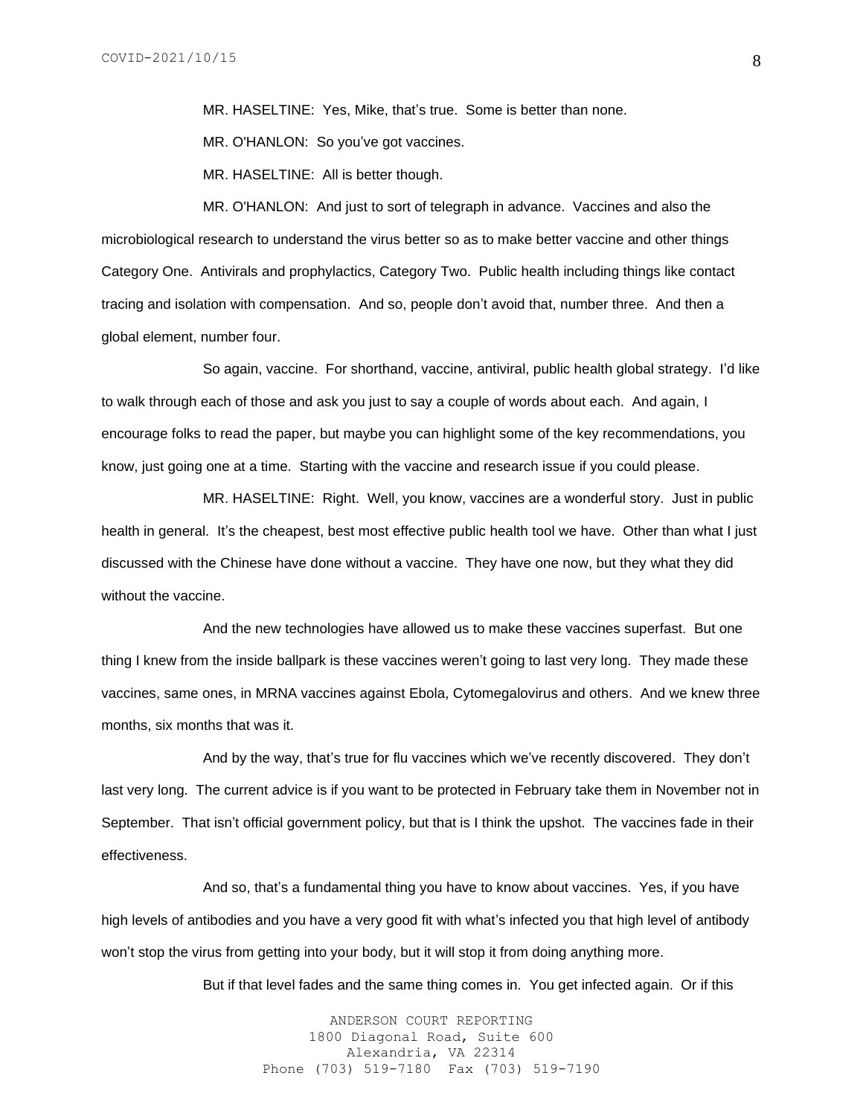MR. HASELTINE: Yes, Mike, that's true. Some is better than none.

MR. O'HANLON: So you've got vaccines.

MR. HASELTINE: All is better though.

MR. O'HANLON: And just to sort of telegraph in advance. Vaccines and also the microbiological research to understand the virus better so as to make better vaccine and other things Category One. Antivirals and prophylactics, Category Two. Public health including things like contact tracing and isolation with compensation. And so, people don't avoid that, number three. And then a global element, number four.

So again, vaccine. For shorthand, vaccine, antiviral, public health global strategy. I'd like to walk through each of those and ask you just to say a couple of words about each. And again, I encourage folks to read the paper, but maybe you can highlight some of the key recommendations, you know, just going one at a time. Starting with the vaccine and research issue if you could please.

MR. HASELTINE: Right. Well, you know, vaccines are a wonderful story. Just in public health in general. It's the cheapest, best most effective public health tool we have. Other than what I just discussed with the Chinese have done without a vaccine. They have one now, but they what they did without the vaccine.

And the new technologies have allowed us to make these vaccines superfast. But one thing I knew from the inside ballpark is these vaccines weren't going to last very long. They made these vaccines, same ones, in MRNA vaccines against Ebola, Cytomegalovirus and others. And we knew three months, six months that was it.

And by the way, that's true for flu vaccines which we've recently discovered. They don't last very long. The current advice is if you want to be protected in February take them in November not in September. That isn't official government policy, but that is I think the upshot. The vaccines fade in their effectiveness.

And so, that's a fundamental thing you have to know about vaccines. Yes, if you have high levels of antibodies and you have a very good fit with what's infected you that high level of antibody won't stop the virus from getting into your body, but it will stop it from doing anything more.

But if that level fades and the same thing comes in. You get infected again. Or if this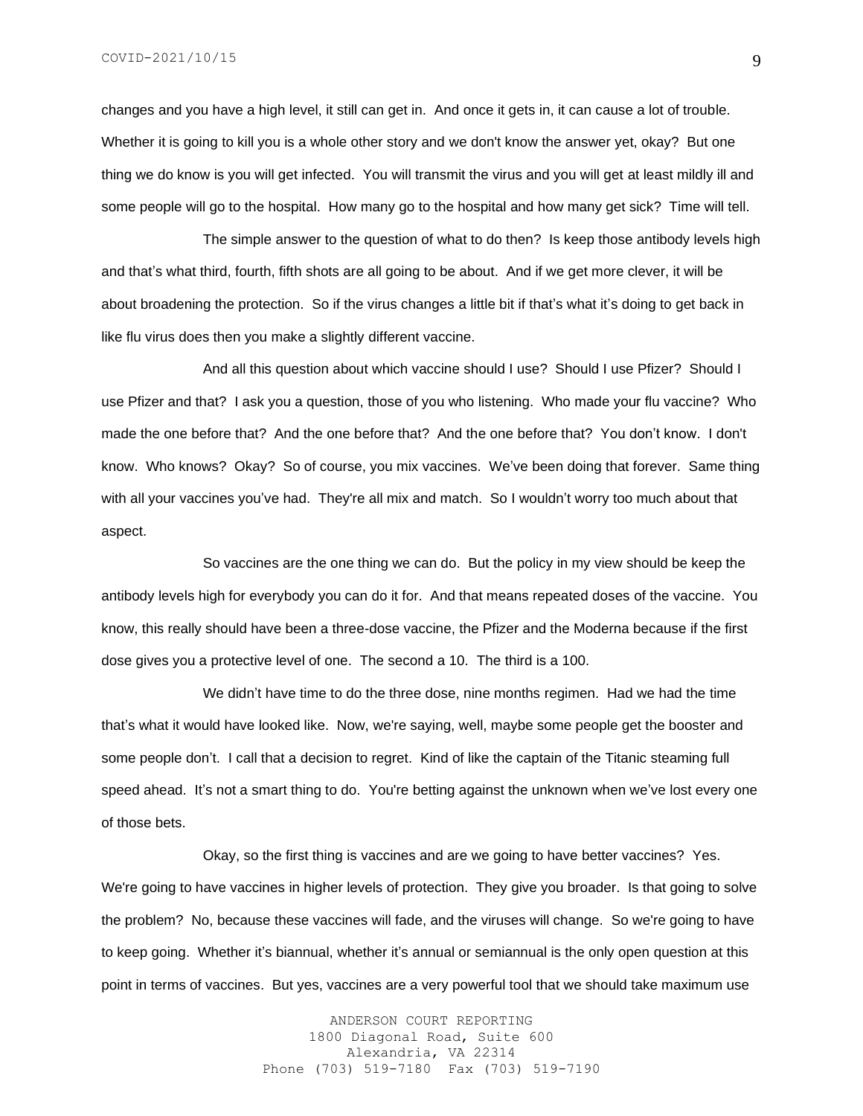changes and you have a high level, it still can get in. And once it gets in, it can cause a lot of trouble. Whether it is going to kill you is a whole other story and we don't know the answer yet, okay? But one thing we do know is you will get infected. You will transmit the virus and you will get at least mildly ill and some people will go to the hospital. How many go to the hospital and how many get sick? Time will tell.

The simple answer to the question of what to do then? Is keep those antibody levels high and that's what third, fourth, fifth shots are all going to be about. And if we get more clever, it will be about broadening the protection. So if the virus changes a little bit if that's what it's doing to get back in like flu virus does then you make a slightly different vaccine.

And all this question about which vaccine should I use? Should I use Pfizer? Should I use Pfizer and that? I ask you a question, those of you who listening. Who made your flu vaccine? Who made the one before that? And the one before that? And the one before that? You don't know. I don't know. Who knows? Okay? So of course, you mix vaccines. We've been doing that forever. Same thing with all your vaccines you've had. They're all mix and match. So I wouldn't worry too much about that aspect.

So vaccines are the one thing we can do. But the policy in my view should be keep the antibody levels high for everybody you can do it for. And that means repeated doses of the vaccine. You know, this really should have been a three-dose vaccine, the Pfizer and the Moderna because if the first dose gives you a protective level of one. The second a 10. The third is a 100.

We didn't have time to do the three dose, nine months regimen. Had we had the time that's what it would have looked like. Now, we're saying, well, maybe some people get the booster and some people don't. I call that a decision to regret. Kind of like the captain of the Titanic steaming full speed ahead. It's not a smart thing to do. You're betting against the unknown when we've lost every one of those bets.

Okay, so the first thing is vaccines and are we going to have better vaccines? Yes. We're going to have vaccines in higher levels of protection. They give you broader. Is that going to solve the problem? No, because these vaccines will fade, and the viruses will change. So we're going to have to keep going. Whether it's biannual, whether it's annual or semiannual is the only open question at this point in terms of vaccines. But yes, vaccines are a very powerful tool that we should take maximum use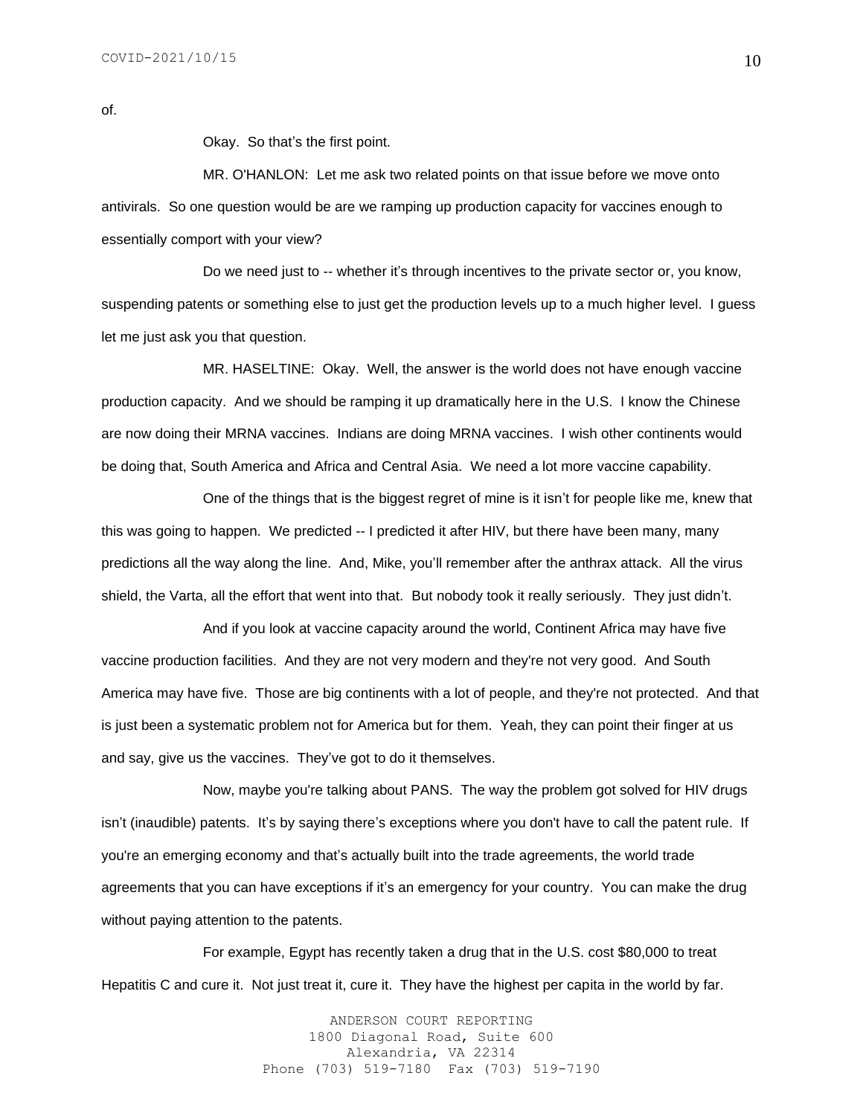of.

Okay. So that's the first point.

MR. O'HANLON: Let me ask two related points on that issue before we move onto antivirals. So one question would be are we ramping up production capacity for vaccines enough to essentially comport with your view?

Do we need just to -- whether it's through incentives to the private sector or, you know, suspending patents or something else to just get the production levels up to a much higher level. I guess let me just ask you that question.

MR. HASELTINE: Okay. Well, the answer is the world does not have enough vaccine production capacity. And we should be ramping it up dramatically here in the U.S. I know the Chinese are now doing their MRNA vaccines. Indians are doing MRNA vaccines. I wish other continents would be doing that, South America and Africa and Central Asia. We need a lot more vaccine capability.

One of the things that is the biggest regret of mine is it isn't for people like me, knew that this was going to happen. We predicted -- I predicted it after HIV, but there have been many, many predictions all the way along the line. And, Mike, you'll remember after the anthrax attack. All the virus shield, the Varta, all the effort that went into that. But nobody took it really seriously. They just didn't.

And if you look at vaccine capacity around the world, Continent Africa may have five vaccine production facilities. And they are not very modern and they're not very good. And South America may have five. Those are big continents with a lot of people, and they're not protected. And that is just been a systematic problem not for America but for them. Yeah, they can point their finger at us and say, give us the vaccines. They've got to do it themselves.

Now, maybe you're talking about PANS. The way the problem got solved for HIV drugs isn't (inaudible) patents. It's by saying there's exceptions where you don't have to call the patent rule. If you're an emerging economy and that's actually built into the trade agreements, the world trade agreements that you can have exceptions if it's an emergency for your country. You can make the drug without paying attention to the patents.

For example, Egypt has recently taken a drug that in the U.S. cost \$80,000 to treat Hepatitis C and cure it. Not just treat it, cure it. They have the highest per capita in the world by far.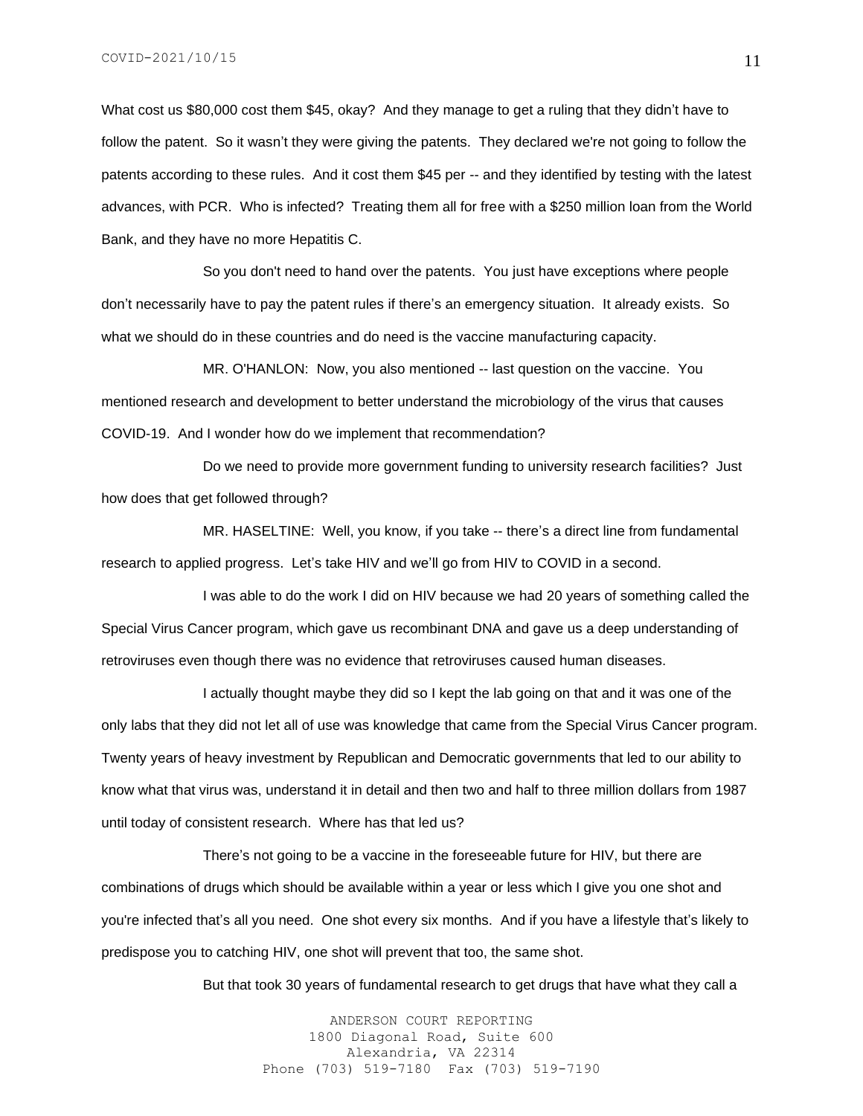What cost us \$80,000 cost them \$45, okay? And they manage to get a ruling that they didn't have to follow the patent. So it wasn't they were giving the patents. They declared we're not going to follow the patents according to these rules. And it cost them \$45 per -- and they identified by testing with the latest advances, with PCR. Who is infected? Treating them all for free with a \$250 million loan from the World Bank, and they have no more Hepatitis C.

So you don't need to hand over the patents. You just have exceptions where people don't necessarily have to pay the patent rules if there's an emergency situation. It already exists. So what we should do in these countries and do need is the vaccine manufacturing capacity.

MR. O'HANLON: Now, you also mentioned -- last question on the vaccine. You mentioned research and development to better understand the microbiology of the virus that causes COVID-19. And I wonder how do we implement that recommendation?

Do we need to provide more government funding to university research facilities? Just how does that get followed through?

MR. HASELTINE: Well, you know, if you take -- there's a direct line from fundamental research to applied progress. Let's take HIV and we'll go from HIV to COVID in a second.

I was able to do the work I did on HIV because we had 20 years of something called the Special Virus Cancer program, which gave us recombinant DNA and gave us a deep understanding of retroviruses even though there was no evidence that retroviruses caused human diseases.

I actually thought maybe they did so I kept the lab going on that and it was one of the only labs that they did not let all of use was knowledge that came from the Special Virus Cancer program. Twenty years of heavy investment by Republican and Democratic governments that led to our ability to know what that virus was, understand it in detail and then two and half to three million dollars from 1987 until today of consistent research. Where has that led us?

There's not going to be a vaccine in the foreseeable future for HIV, but there are combinations of drugs which should be available within a year or less which I give you one shot and you're infected that's all you need. One shot every six months. And if you have a lifestyle that's likely to predispose you to catching HIV, one shot will prevent that too, the same shot.

But that took 30 years of fundamental research to get drugs that have what they call a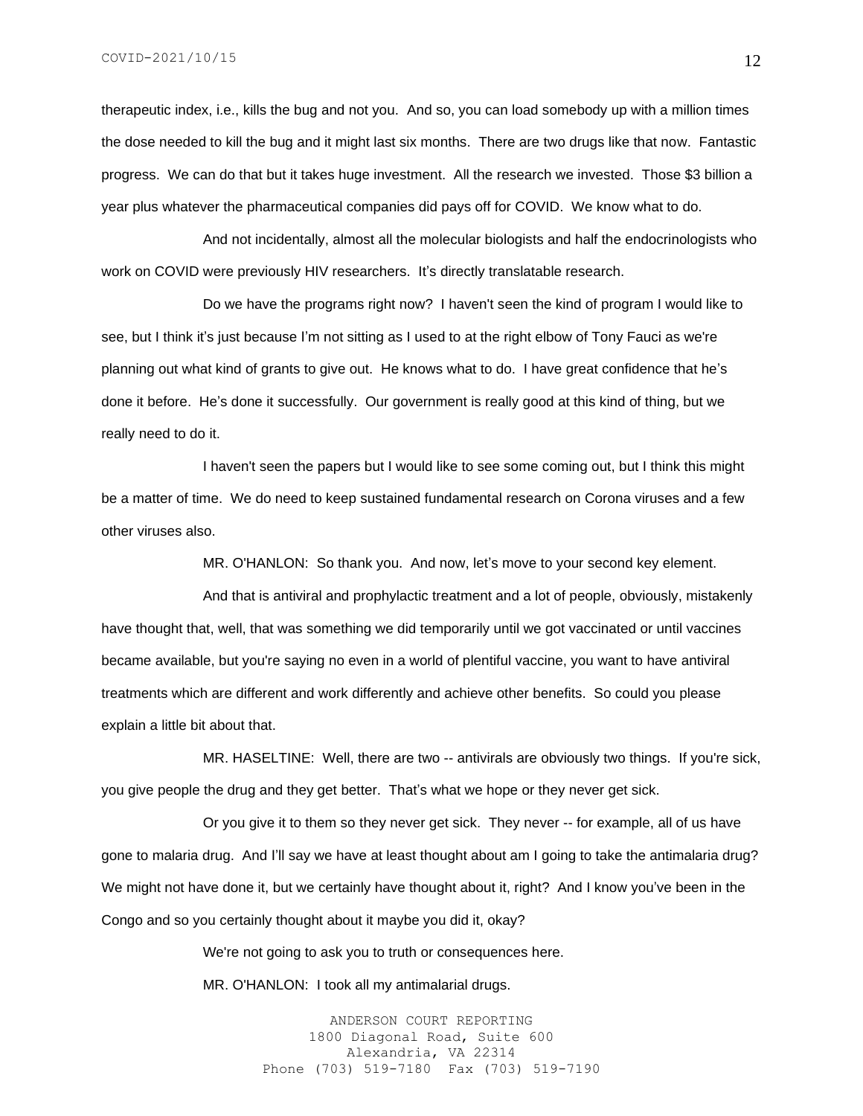therapeutic index, i.e., kills the bug and not you. And so, you can load somebody up with a million times the dose needed to kill the bug and it might last six months. There are two drugs like that now. Fantastic progress. We can do that but it takes huge investment. All the research we invested. Those \$3 billion a year plus whatever the pharmaceutical companies did pays off for COVID. We know what to do.

And not incidentally, almost all the molecular biologists and half the endocrinologists who work on COVID were previously HIV researchers. It's directly translatable research.

Do we have the programs right now? I haven't seen the kind of program I would like to see, but I think it's just because I'm not sitting as I used to at the right elbow of Tony Fauci as we're planning out what kind of grants to give out. He knows what to do. I have great confidence that he's done it before. He's done it successfully. Our government is really good at this kind of thing, but we really need to do it.

I haven't seen the papers but I would like to see some coming out, but I think this might be a matter of time. We do need to keep sustained fundamental research on Corona viruses and a few other viruses also.

MR. O'HANLON: So thank you. And now, let's move to your second key element.

And that is antiviral and prophylactic treatment and a lot of people, obviously, mistakenly have thought that, well, that was something we did temporarily until we got vaccinated or until vaccines became available, but you're saying no even in a world of plentiful vaccine, you want to have antiviral treatments which are different and work differently and achieve other benefits. So could you please explain a little bit about that.

MR. HASELTINE: Well, there are two -- antivirals are obviously two things. If you're sick, you give people the drug and they get better. That's what we hope or they never get sick.

Or you give it to them so they never get sick. They never -- for example, all of us have gone to malaria drug. And I'll say we have at least thought about am I going to take the antimalaria drug? We might not have done it, but we certainly have thought about it, right? And I know you've been in the Congo and so you certainly thought about it maybe you did it, okay?

We're not going to ask you to truth or consequences here.

MR. O'HANLON: I took all my antimalarial drugs.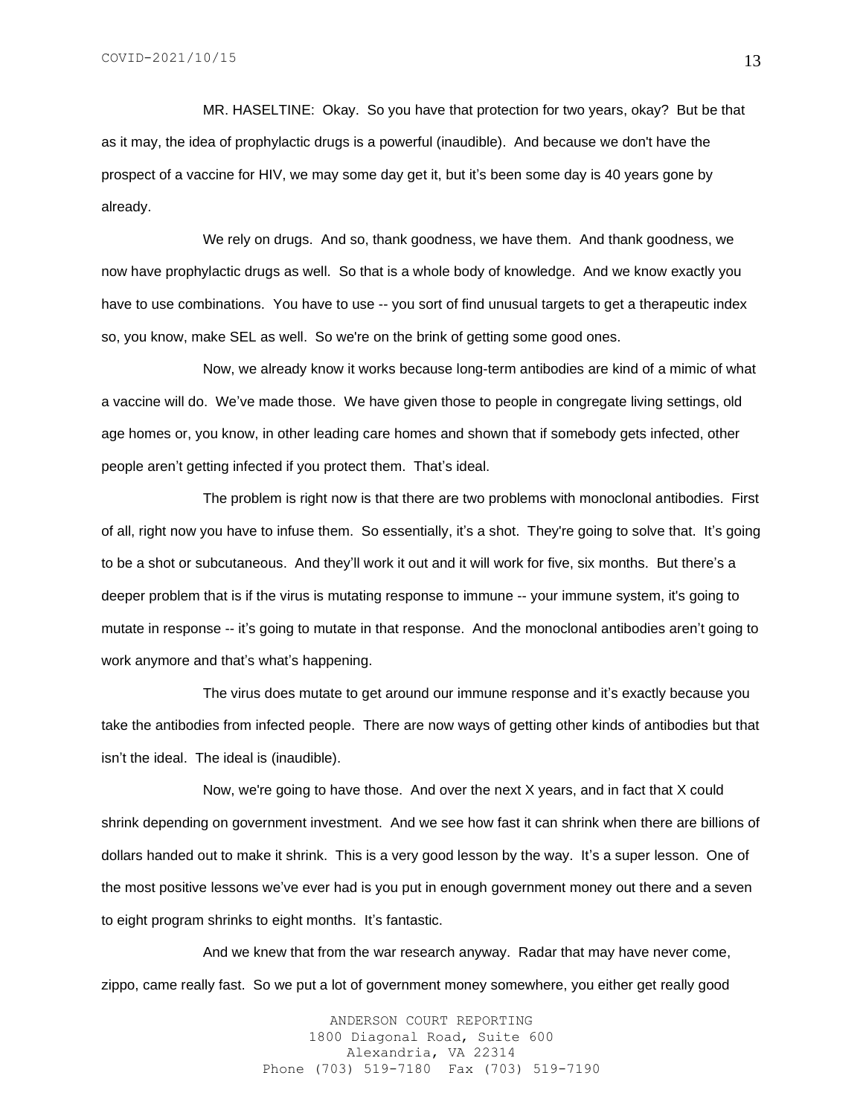MR. HASELTINE: Okay. So you have that protection for two years, okay? But be that as it may, the idea of prophylactic drugs is a powerful (inaudible). And because we don't have the prospect of a vaccine for HIV, we may some day get it, but it's been some day is 40 years gone by already.

We rely on drugs. And so, thank goodness, we have them. And thank goodness, we now have prophylactic drugs as well. So that is a whole body of knowledge. And we know exactly you have to use combinations. You have to use -- you sort of find unusual targets to get a therapeutic index so, you know, make SEL as well. So we're on the brink of getting some good ones.

Now, we already know it works because long-term antibodies are kind of a mimic of what a vaccine will do. We've made those. We have given those to people in congregate living settings, old age homes or, you know, in other leading care homes and shown that if somebody gets infected, other people aren't getting infected if you protect them. That's ideal.

The problem is right now is that there are two problems with monoclonal antibodies. First of all, right now you have to infuse them. So essentially, it's a shot. They're going to solve that. It's going to be a shot or subcutaneous. And they'll work it out and it will work for five, six months. But there's a deeper problem that is if the virus is mutating response to immune -- your immune system, it's going to mutate in response -- it's going to mutate in that response. And the monoclonal antibodies aren't going to work anymore and that's what's happening.

The virus does mutate to get around our immune response and it's exactly because you take the antibodies from infected people. There are now ways of getting other kinds of antibodies but that isn't the ideal. The ideal is (inaudible).

Now, we're going to have those. And over the next X years, and in fact that X could shrink depending on government investment. And we see how fast it can shrink when there are billions of dollars handed out to make it shrink. This is a very good lesson by the way. It's a super lesson. One of the most positive lessons we've ever had is you put in enough government money out there and a seven to eight program shrinks to eight months. It's fantastic.

And we knew that from the war research anyway. Radar that may have never come, zippo, came really fast. So we put a lot of government money somewhere, you either get really good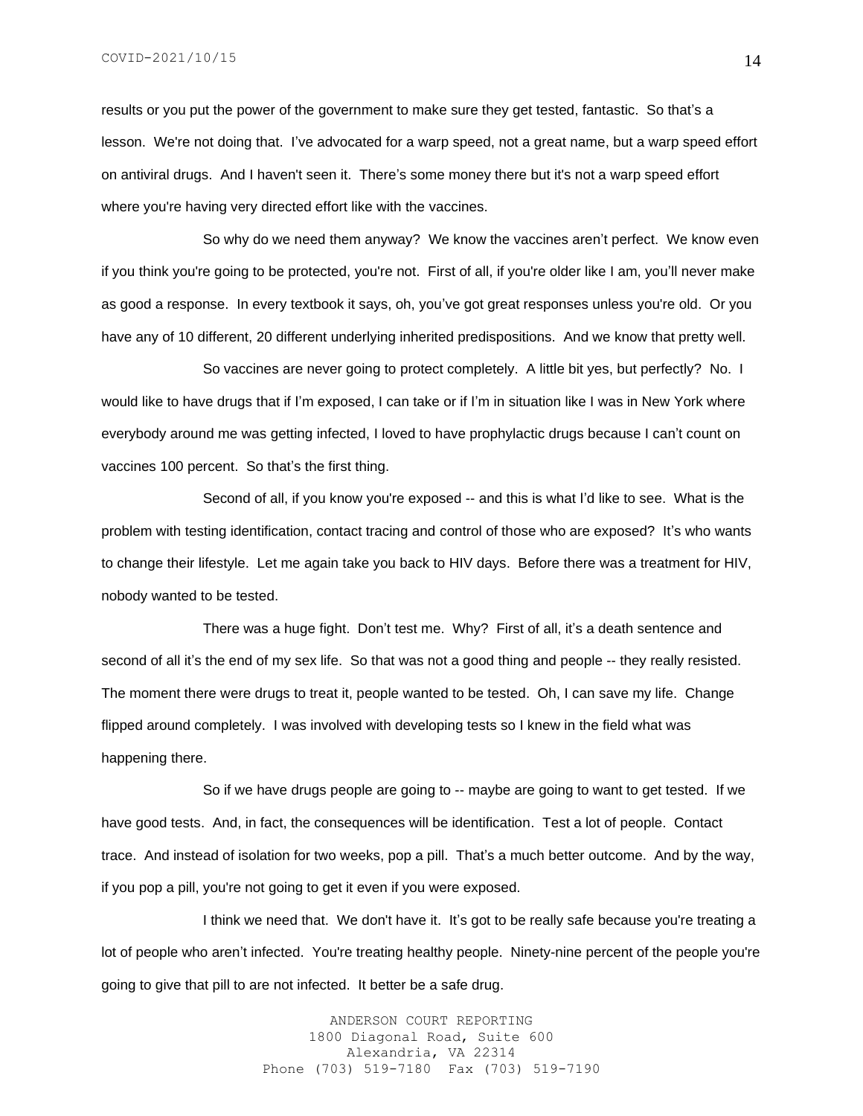results or you put the power of the government to make sure they get tested, fantastic. So that's a lesson. We're not doing that. I've advocated for a warp speed, not a great name, but a warp speed effort on antiviral drugs. And I haven't seen it. There's some money there but it's not a warp speed effort where you're having very directed effort like with the vaccines.

So why do we need them anyway? We know the vaccines aren't perfect. We know even if you think you're going to be protected, you're not. First of all, if you're older like I am, you'll never make as good a response. In every textbook it says, oh, you've got great responses unless you're old. Or you have any of 10 different, 20 different underlying inherited predispositions. And we know that pretty well.

So vaccines are never going to protect completely. A little bit yes, but perfectly? No. I would like to have drugs that if I'm exposed, I can take or if I'm in situation like I was in New York where everybody around me was getting infected, I loved to have prophylactic drugs because I can't count on vaccines 100 percent. So that's the first thing.

Second of all, if you know you're exposed -- and this is what I'd like to see. What is the problem with testing identification, contact tracing and control of those who are exposed? It's who wants to change their lifestyle. Let me again take you back to HIV days. Before there was a treatment for HIV, nobody wanted to be tested.

There was a huge fight. Don't test me. Why? First of all, it's a death sentence and second of all it's the end of my sex life. So that was not a good thing and people -- they really resisted. The moment there were drugs to treat it, people wanted to be tested. Oh, I can save my life. Change flipped around completely. I was involved with developing tests so I knew in the field what was happening there.

So if we have drugs people are going to -- maybe are going to want to get tested. If we have good tests. And, in fact, the consequences will be identification. Test a lot of people. Contact trace. And instead of isolation for two weeks, pop a pill. That's a much better outcome. And by the way, if you pop a pill, you're not going to get it even if you were exposed.

I think we need that. We don't have it. It's got to be really safe because you're treating a lot of people who aren't infected. You're treating healthy people. Ninety-nine percent of the people you're going to give that pill to are not infected. It better be a safe drug.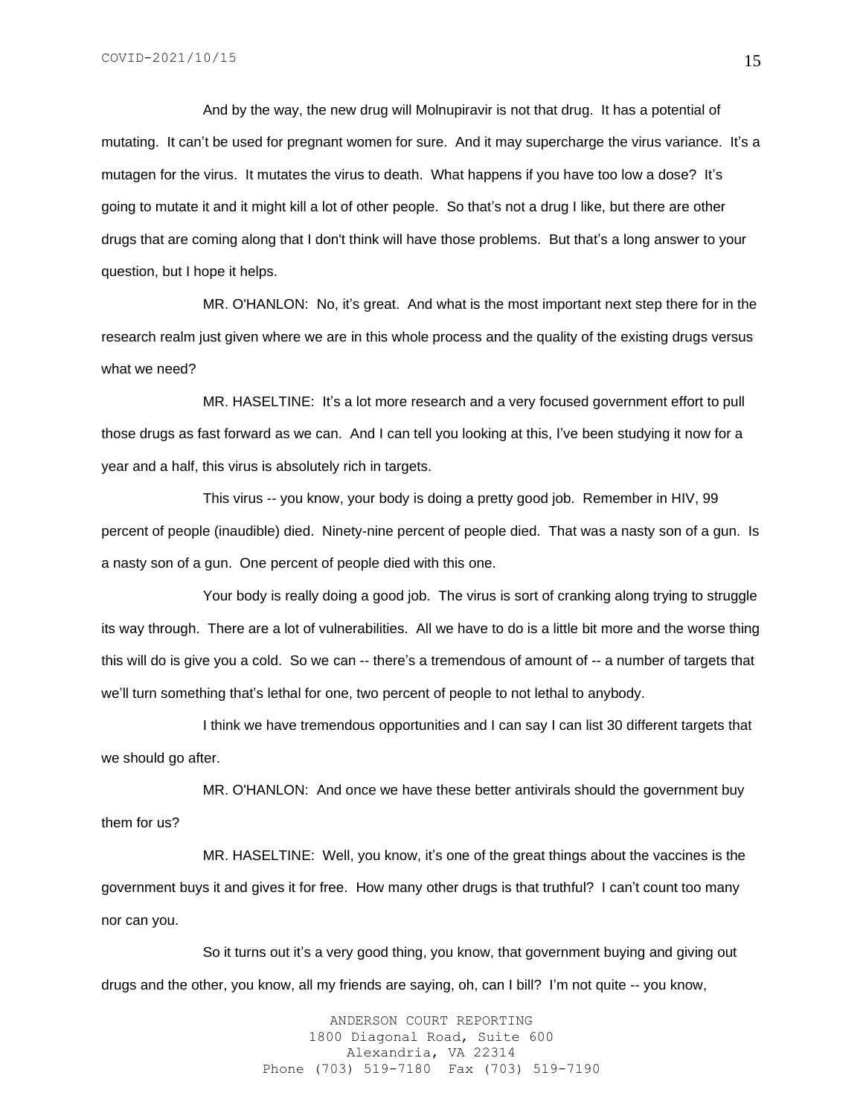And by the way, the new drug will Molnupiravir is not that drug. It has a potential of mutating. It can't be used for pregnant women for sure. And it may supercharge the virus variance. It's a mutagen for the virus. It mutates the virus to death. What happens if you have too low a dose? It's going to mutate it and it might kill a lot of other people. So that's not a drug I like, but there are other drugs that are coming along that I don't think will have those problems. But that's a long answer to your question, but I hope it helps.

MR. O'HANLON: No, it's great. And what is the most important next step there for in the research realm just given where we are in this whole process and the quality of the existing drugs versus what we need?

MR. HASELTINE: It's a lot more research and a very focused government effort to pull those drugs as fast forward as we can. And I can tell you looking at this, I've been studying it now for a year and a half, this virus is absolutely rich in targets.

This virus -- you know, your body is doing a pretty good job. Remember in HIV, 99 percent of people (inaudible) died. Ninety-nine percent of people died. That was a nasty son of a gun. Is a nasty son of a gun. One percent of people died with this one.

Your body is really doing a good job. The virus is sort of cranking along trying to struggle its way through. There are a lot of vulnerabilities. All we have to do is a little bit more and the worse thing this will do is give you a cold. So we can -- there's a tremendous of amount of -- a number of targets that we'll turn something that's lethal for one, two percent of people to not lethal to anybody.

I think we have tremendous opportunities and I can say I can list 30 different targets that we should go after.

MR. O'HANLON: And once we have these better antivirals should the government buy them for us?

MR. HASELTINE: Well, you know, it's one of the great things about the vaccines is the government buys it and gives it for free. How many other drugs is that truthful? I can't count too many nor can you.

So it turns out it's a very good thing, you know, that government buying and giving out drugs and the other, you know, all my friends are saying, oh, can I bill? I'm not quite -- you know,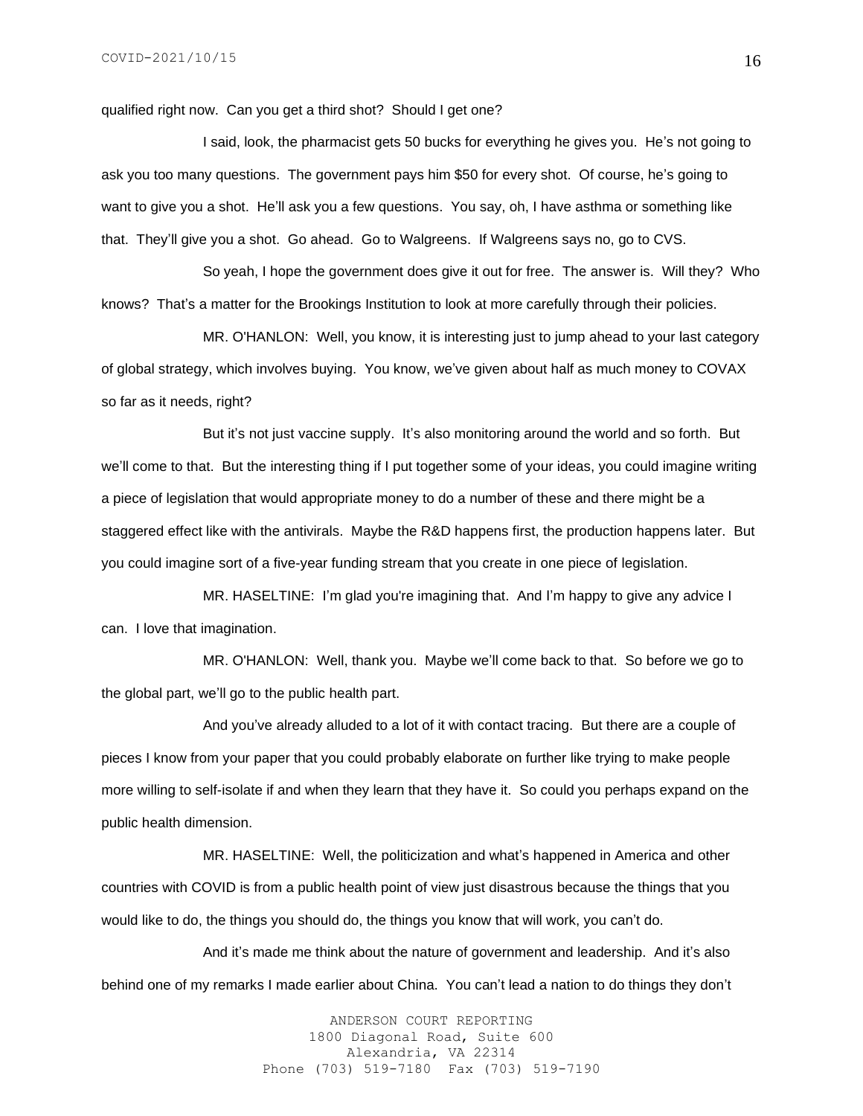qualified right now. Can you get a third shot? Should I get one?

I said, look, the pharmacist gets 50 bucks for everything he gives you. He's not going to ask you too many questions. The government pays him \$50 for every shot. Of course, he's going to want to give you a shot. He'll ask you a few questions. You say, oh, I have asthma or something like that. They'll give you a shot. Go ahead. Go to Walgreens. If Walgreens says no, go to CVS.

So yeah, I hope the government does give it out for free. The answer is. Will they? Who knows? That's a matter for the Brookings Institution to look at more carefully through their policies.

MR. O'HANLON: Well, you know, it is interesting just to jump ahead to your last category of global strategy, which involves buying. You know, we've given about half as much money to COVAX so far as it needs, right?

But it's not just vaccine supply. It's also monitoring around the world and so forth. But we'll come to that. But the interesting thing if I put together some of your ideas, you could imagine writing a piece of legislation that would appropriate money to do a number of these and there might be a staggered effect like with the antivirals. Maybe the R&D happens first, the production happens later. But you could imagine sort of a five-year funding stream that you create in one piece of legislation.

MR. HASELTINE: I'm glad you're imagining that. And I'm happy to give any advice I can. I love that imagination.

MR. O'HANLON: Well, thank you. Maybe we'll come back to that. So before we go to the global part, we'll go to the public health part.

And you've already alluded to a lot of it with contact tracing. But there are a couple of pieces I know from your paper that you could probably elaborate on further like trying to make people more willing to self-isolate if and when they learn that they have it. So could you perhaps expand on the public health dimension.

MR. HASELTINE: Well, the politicization and what's happened in America and other countries with COVID is from a public health point of view just disastrous because the things that you would like to do, the things you should do, the things you know that will work, you can't do.

And it's made me think about the nature of government and leadership. And it's also behind one of my remarks I made earlier about China. You can't lead a nation to do things they don't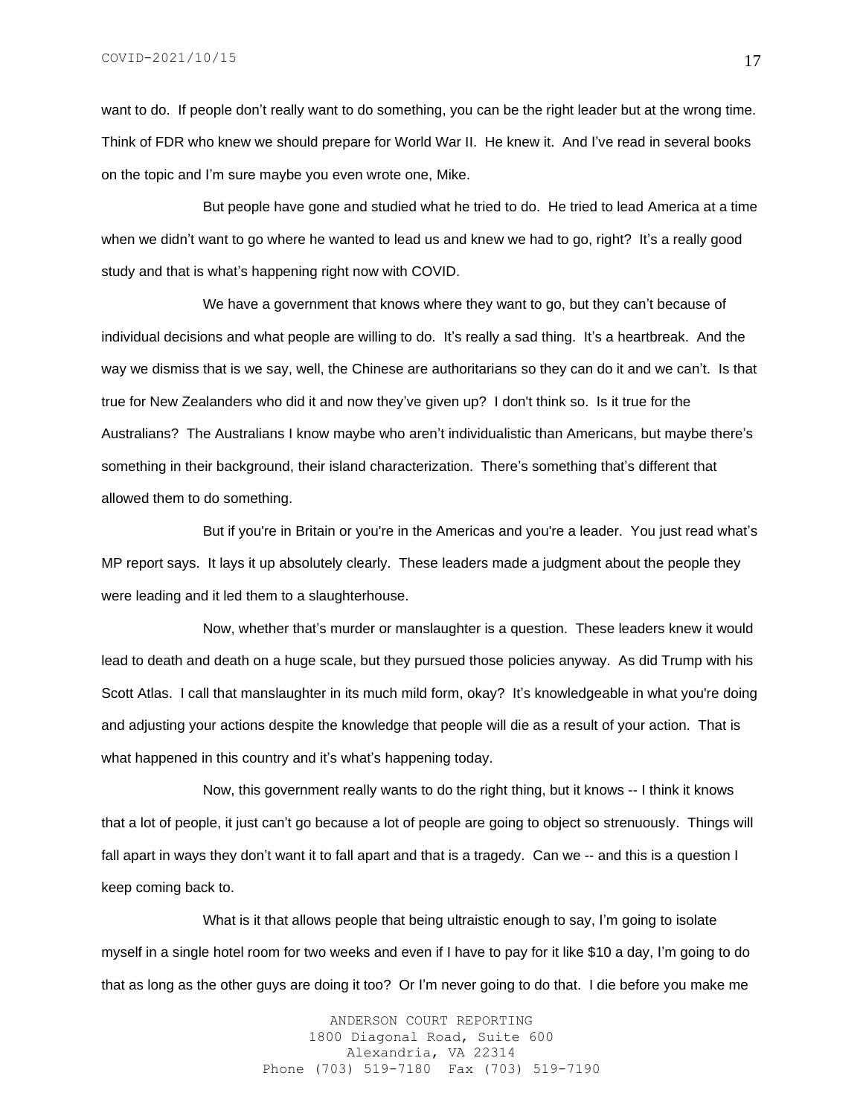want to do. If people don't really want to do something, you can be the right leader but at the wrong time. Think of FDR who knew we should prepare for World War II. He knew it. And I've read in several books on the topic and I'm sure maybe you even wrote one, Mike.

But people have gone and studied what he tried to do. He tried to lead America at a time when we didn't want to go where he wanted to lead us and knew we had to go, right? It's a really good study and that is what's happening right now with COVID.

We have a government that knows where they want to go, but they can't because of individual decisions and what people are willing to do. It's really a sad thing. It's a heartbreak. And the way we dismiss that is we say, well, the Chinese are authoritarians so they can do it and we can't. Is that true for New Zealanders who did it and now they've given up? I don't think so. Is it true for the Australians? The Australians I know maybe who aren't individualistic than Americans, but maybe there's something in their background, their island characterization. There's something that's different that allowed them to do something.

But if you're in Britain or you're in the Americas and you're a leader. You just read what's MP report says. It lays it up absolutely clearly. These leaders made a judgment about the people they were leading and it led them to a slaughterhouse.

Now, whether that's murder or manslaughter is a question. These leaders knew it would lead to death and death on a huge scale, but they pursued those policies anyway. As did Trump with his Scott Atlas. I call that manslaughter in its much mild form, okay? It's knowledgeable in what you're doing and adjusting your actions despite the knowledge that people will die as a result of your action. That is what happened in this country and it's what's happening today.

Now, this government really wants to do the right thing, but it knows -- I think it knows that a lot of people, it just can't go because a lot of people are going to object so strenuously. Things will fall apart in ways they don't want it to fall apart and that is a tragedy. Can we -- and this is a question I keep coming back to.

What is it that allows people that being ultraistic enough to say, I'm going to isolate myself in a single hotel room for two weeks and even if I have to pay for it like \$10 a day, I'm going to do that as long as the other guys are doing it too? Or I'm never going to do that. I die before you make me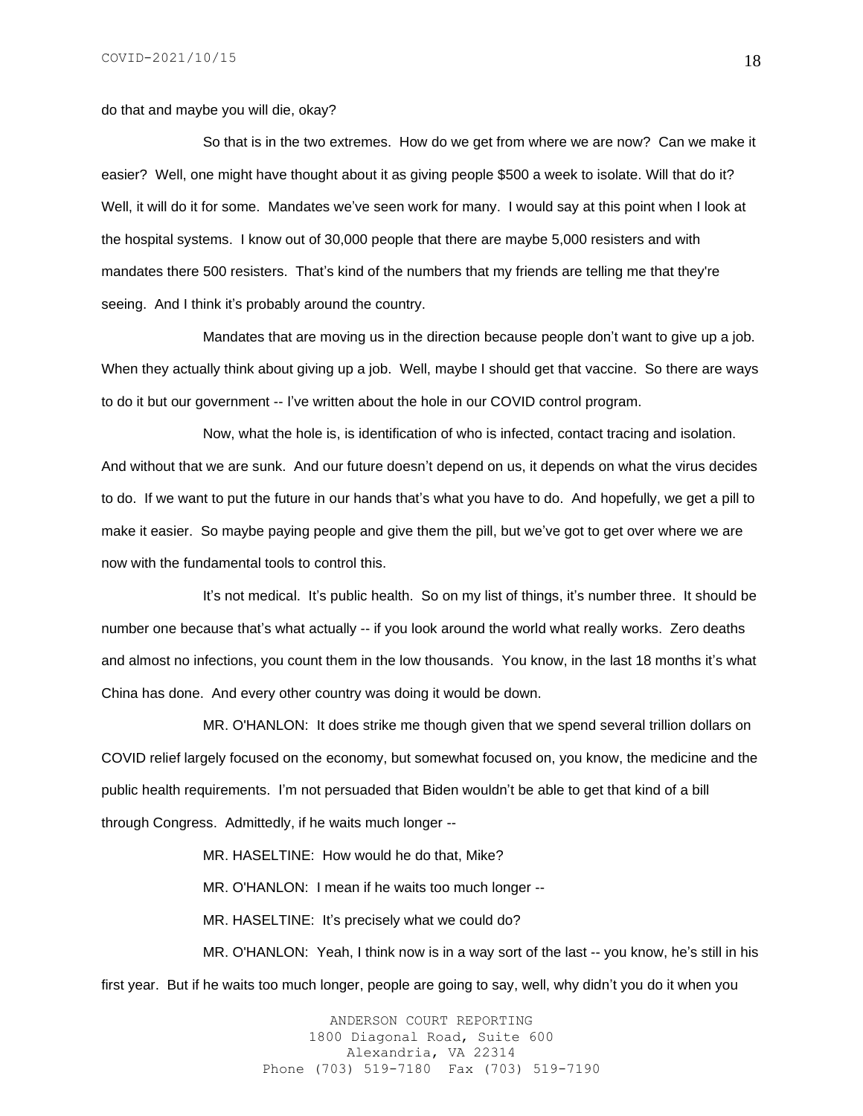do that and maybe you will die, okay?

So that is in the two extremes. How do we get from where we are now? Can we make it easier? Well, one might have thought about it as giving people \$500 a week to isolate. Will that do it? Well, it will do it for some. Mandates we've seen work for many. I would say at this point when I look at the hospital systems. I know out of 30,000 people that there are maybe 5,000 resisters and with mandates there 500 resisters. That's kind of the numbers that my friends are telling me that they're seeing. And I think it's probably around the country.

Mandates that are moving us in the direction because people don't want to give up a job. When they actually think about giving up a job. Well, maybe I should get that vaccine. So there are ways to do it but our government -- I've written about the hole in our COVID control program.

Now, what the hole is, is identification of who is infected, contact tracing and isolation. And without that we are sunk. And our future doesn't depend on us, it depends on what the virus decides to do. If we want to put the future in our hands that's what you have to do. And hopefully, we get a pill to make it easier. So maybe paying people and give them the pill, but we've got to get over where we are now with the fundamental tools to control this.

It's not medical. It's public health. So on my list of things, it's number three. It should be number one because that's what actually -- if you look around the world what really works. Zero deaths and almost no infections, you count them in the low thousands. You know, in the last 18 months it's what China has done. And every other country was doing it would be down.

MR. O'HANLON: It does strike me though given that we spend several trillion dollars on COVID relief largely focused on the economy, but somewhat focused on, you know, the medicine and the public health requirements. I'm not persuaded that Biden wouldn't be able to get that kind of a bill through Congress. Admittedly, if he waits much longer --

MR. HASELTINE: How would he do that, Mike?

MR. O'HANLON: I mean if he waits too much longer --

MR. HASELTINE: It's precisely what we could do?

MR. O'HANLON: Yeah, I think now is in a way sort of the last -- you know, he's still in his first year. But if he waits too much longer, people are going to say, well, why didn't you do it when you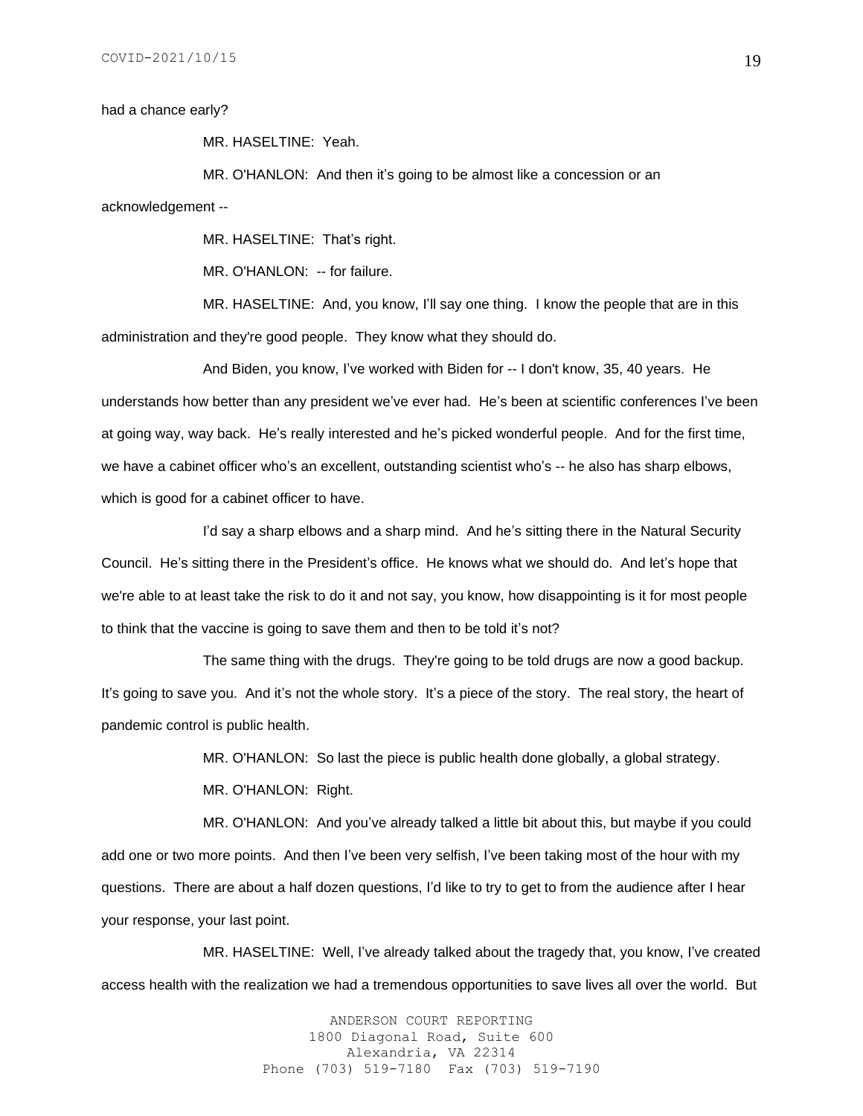had a chance early?

MR. HASELTINE: Yeah.

MR. O'HANLON: And then it's going to be almost like a concession or an

acknowledgement --

MR. HASELTINE: That's right.

MR. O'HANLON: -- for failure.

MR. HASELTINE: And, you know, I'll say one thing. I know the people that are in this administration and they're good people. They know what they should do.

And Biden, you know, I've worked with Biden for -- I don't know, 35, 40 years. He understands how better than any president we've ever had. He's been at scientific conferences I've been at going way, way back. He's really interested and he's picked wonderful people. And for the first time, we have a cabinet officer who's an excellent, outstanding scientist who's -- he also has sharp elbows, which is good for a cabinet officer to have.

I'd say a sharp elbows and a sharp mind. And he's sitting there in the Natural Security Council. He's sitting there in the President's office. He knows what we should do. And let's hope that we're able to at least take the risk to do it and not say, you know, how disappointing is it for most people to think that the vaccine is going to save them and then to be told it's not?

The same thing with the drugs. They're going to be told drugs are now a good backup. It's going to save you. And it's not the whole story. It's a piece of the story. The real story, the heart of pandemic control is public health.

MR. O'HANLON: So last the piece is public health done globally, a global strategy.

MR. O'HANLON: Right.

MR. O'HANLON: And you've already talked a little bit about this, but maybe if you could add one or two more points. And then I've been very selfish, I've been taking most of the hour with my questions. There are about a half dozen questions, I'd like to try to get to from the audience after I hear your response, your last point.

MR. HASELTINE: Well, I've already talked about the tragedy that, you know, I've created access health with the realization we had a tremendous opportunities to save lives all over the world. But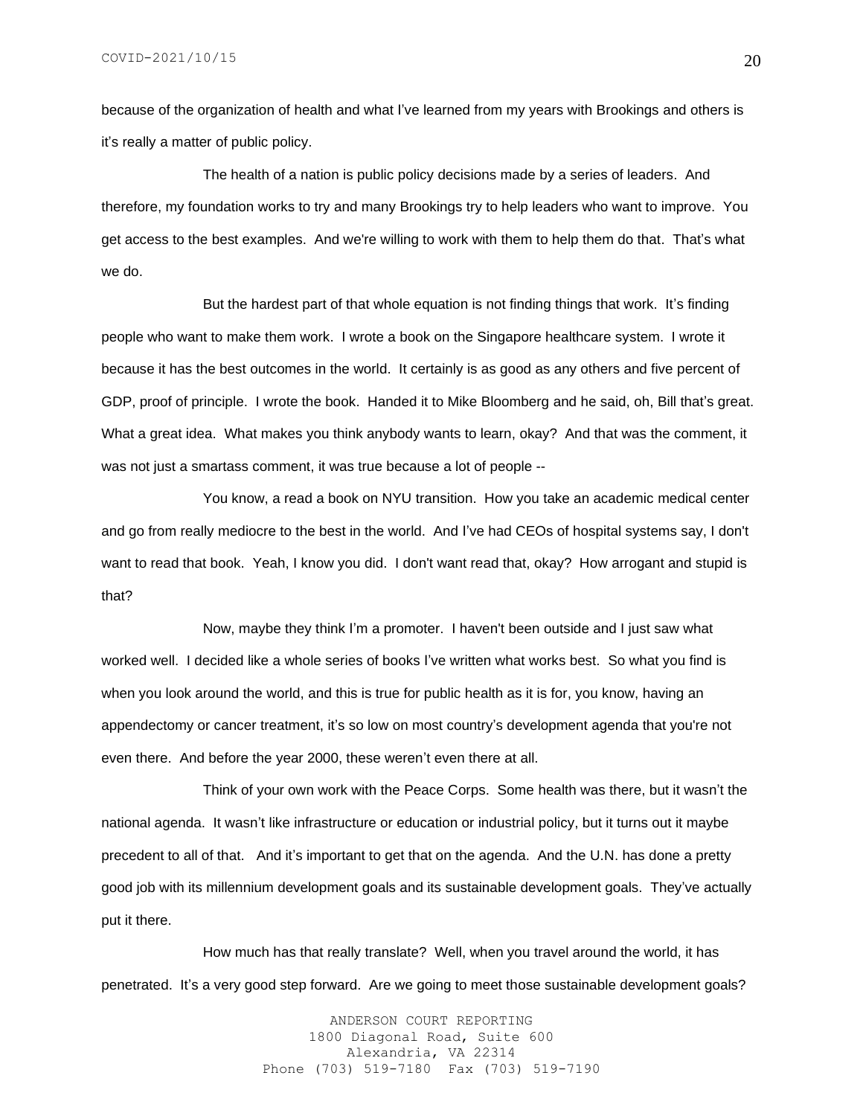because of the organization of health and what I've learned from my years with Brookings and others is it's really a matter of public policy.

The health of a nation is public policy decisions made by a series of leaders. And therefore, my foundation works to try and many Brookings try to help leaders who want to improve. You get access to the best examples. And we're willing to work with them to help them do that. That's what we do.

But the hardest part of that whole equation is not finding things that work. It's finding people who want to make them work. I wrote a book on the Singapore healthcare system. I wrote it because it has the best outcomes in the world. It certainly is as good as any others and five percent of GDP, proof of principle. I wrote the book. Handed it to Mike Bloomberg and he said, oh, Bill that's great. What a great idea. What makes you think anybody wants to learn, okay? And that was the comment, it was not just a smartass comment, it was true because a lot of people --

You know, a read a book on NYU transition. How you take an academic medical center and go from really mediocre to the best in the world. And I've had CEOs of hospital systems say, I don't want to read that book. Yeah, I know you did. I don't want read that, okay? How arrogant and stupid is that?

Now, maybe they think I'm a promoter. I haven't been outside and I just saw what worked well. I decided like a whole series of books I've written what works best. So what you find is when you look around the world, and this is true for public health as it is for, you know, having an appendectomy or cancer treatment, it's so low on most country's development agenda that you're not even there. And before the year 2000, these weren't even there at all.

Think of your own work with the Peace Corps. Some health was there, but it wasn't the national agenda. It wasn't like infrastructure or education or industrial policy, but it turns out it maybe precedent to all of that. And it's important to get that on the agenda. And the U.N. has done a pretty good job with its millennium development goals and its sustainable development goals. They've actually put it there.

How much has that really translate? Well, when you travel around the world, it has penetrated. It's a very good step forward. Are we going to meet those sustainable development goals?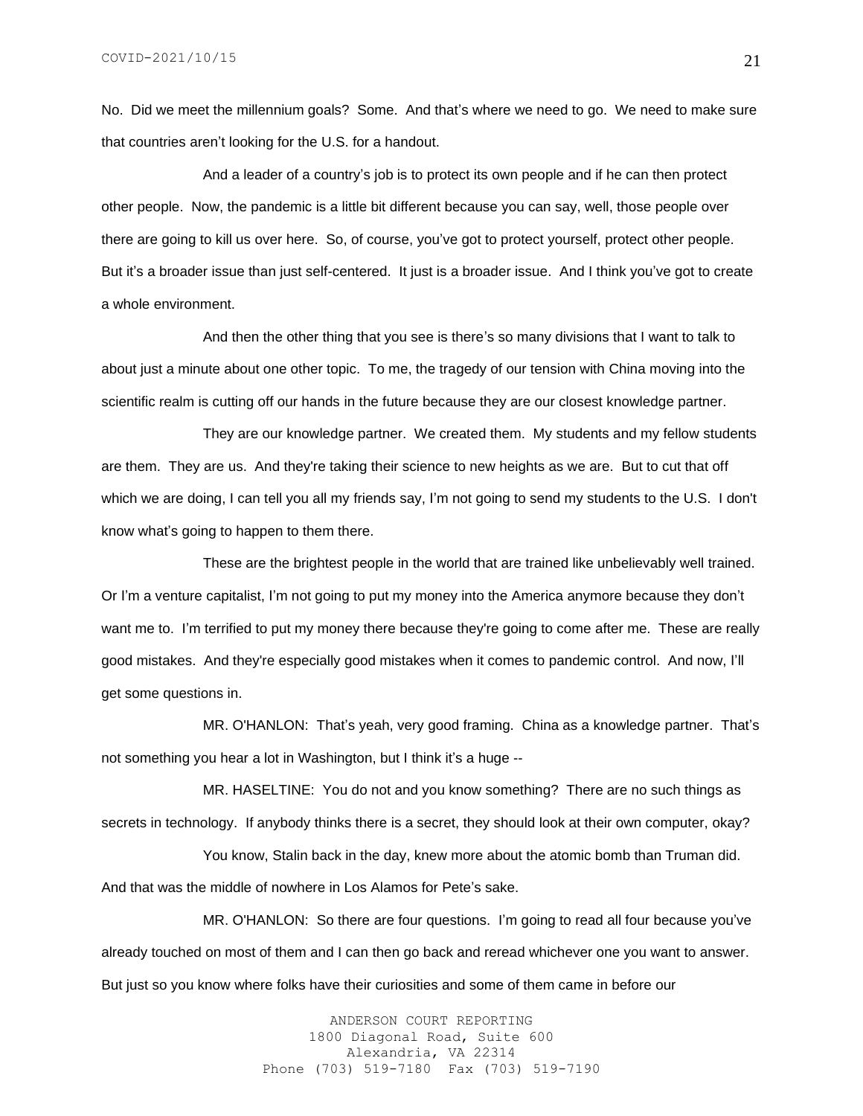No. Did we meet the millennium goals? Some. And that's where we need to go. We need to make sure that countries aren't looking for the U.S. for a handout.

And a leader of a country's job is to protect its own people and if he can then protect other people. Now, the pandemic is a little bit different because you can say, well, those people over there are going to kill us over here. So, of course, you've got to protect yourself, protect other people. But it's a broader issue than just self-centered. It just is a broader issue. And I think you've got to create a whole environment.

And then the other thing that you see is there's so many divisions that I want to talk to about just a minute about one other topic. To me, the tragedy of our tension with China moving into the scientific realm is cutting off our hands in the future because they are our closest knowledge partner.

They are our knowledge partner. We created them. My students and my fellow students are them. They are us. And they're taking their science to new heights as we are. But to cut that off which we are doing, I can tell you all my friends say, I'm not going to send my students to the U.S. I don't know what's going to happen to them there.

These are the brightest people in the world that are trained like unbelievably well trained. Or I'm a venture capitalist, I'm not going to put my money into the America anymore because they don't want me to. I'm terrified to put my money there because they're going to come after me. These are really good mistakes. And they're especially good mistakes when it comes to pandemic control. And now, I'll get some questions in.

MR. O'HANLON: That's yeah, very good framing. China as a knowledge partner. That's not something you hear a lot in Washington, but I think it's a huge --

MR. HASELTINE: You do not and you know something? There are no such things as secrets in technology. If anybody thinks there is a secret, they should look at their own computer, okay?

You know, Stalin back in the day, knew more about the atomic bomb than Truman did. And that was the middle of nowhere in Los Alamos for Pete's sake.

MR. O'HANLON: So there are four questions. I'm going to read all four because you've already touched on most of them and I can then go back and reread whichever one you want to answer. But just so you know where folks have their curiosities and some of them came in before our

> ANDERSON COURT REPORTING 1800 Diagonal Road, Suite 600 Alexandria, VA 22314 Phone (703) 519-7180 Fax (703) 519-7190

21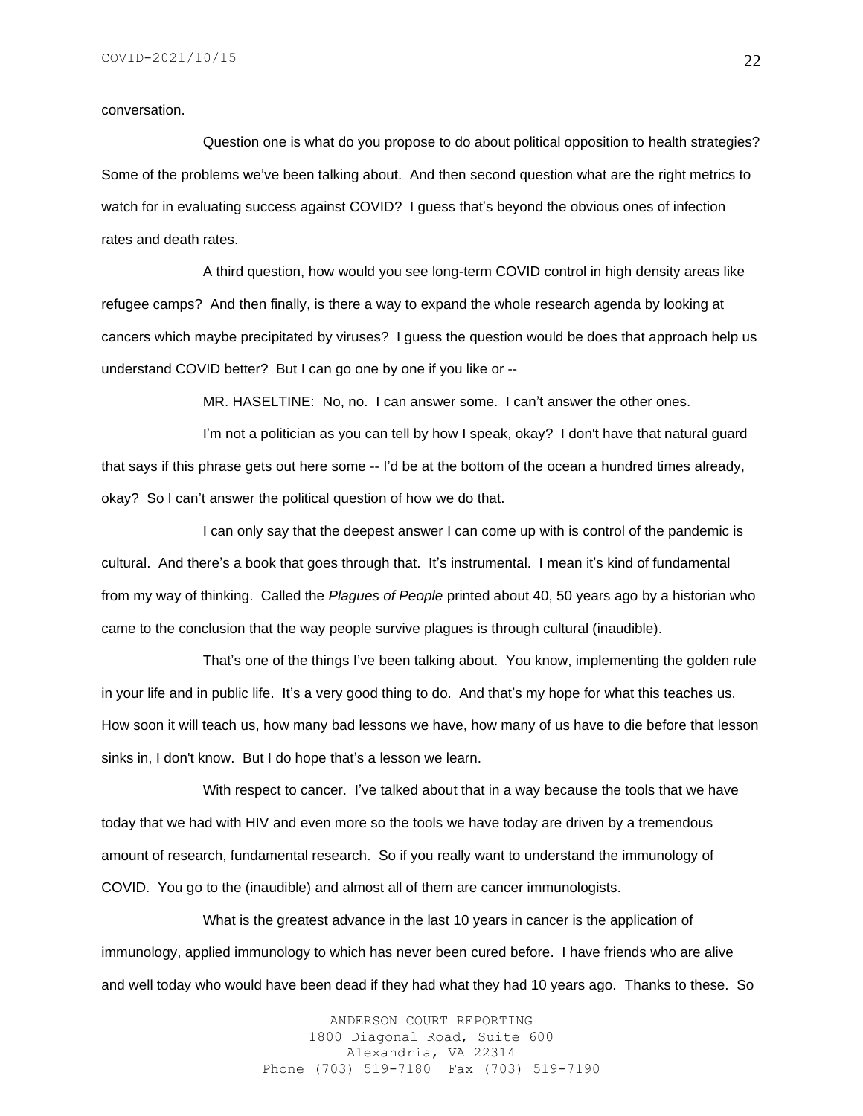#### conversation.

Question one is what do you propose to do about political opposition to health strategies? Some of the problems we've been talking about. And then second question what are the right metrics to watch for in evaluating success against COVID? I guess that's beyond the obvious ones of infection rates and death rates.

A third question, how would you see long-term COVID control in high density areas like refugee camps? And then finally, is there a way to expand the whole research agenda by looking at cancers which maybe precipitated by viruses? I guess the question would be does that approach help us understand COVID better? But I can go one by one if you like or --

MR. HASELTINE: No, no. I can answer some. I can't answer the other ones.

I'm not a politician as you can tell by how I speak, okay? I don't have that natural guard that says if this phrase gets out here some -- I'd be at the bottom of the ocean a hundred times already, okay? So I can't answer the political question of how we do that.

I can only say that the deepest answer I can come up with is control of the pandemic is cultural. And there's a book that goes through that. It's instrumental. I mean it's kind of fundamental from my way of thinking. Called the *Plagues of People* printed about 40, 50 years ago by a historian who came to the conclusion that the way people survive plagues is through cultural (inaudible).

That's one of the things I've been talking about. You know, implementing the golden rule in your life and in public life. It's a very good thing to do. And that's my hope for what this teaches us. How soon it will teach us, how many bad lessons we have, how many of us have to die before that lesson sinks in, I don't know. But I do hope that's a lesson we learn.

With respect to cancer. I've talked about that in a way because the tools that we have today that we had with HIV and even more so the tools we have today are driven by a tremendous amount of research, fundamental research. So if you really want to understand the immunology of COVID. You go to the (inaudible) and almost all of them are cancer immunologists.

What is the greatest advance in the last 10 years in cancer is the application of immunology, applied immunology to which has never been cured before. I have friends who are alive and well today who would have been dead if they had what they had 10 years ago. Thanks to these. So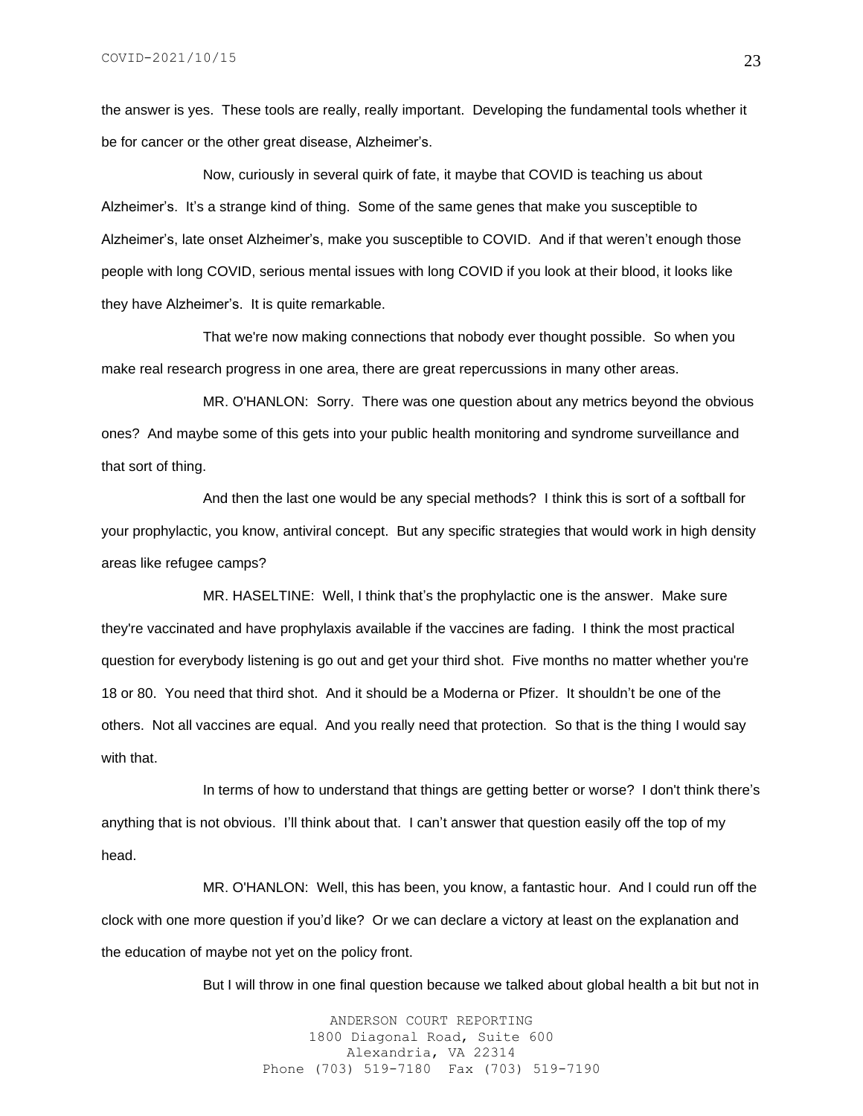the answer is yes. These tools are really, really important. Developing the fundamental tools whether it be for cancer or the other great disease, Alzheimer's.

Now, curiously in several quirk of fate, it maybe that COVID is teaching us about Alzheimer's. It's a strange kind of thing. Some of the same genes that make you susceptible to Alzheimer's, late onset Alzheimer's, make you susceptible to COVID. And if that weren't enough those people with long COVID, serious mental issues with long COVID if you look at their blood, it looks like they have Alzheimer's. It is quite remarkable.

That we're now making connections that nobody ever thought possible. So when you make real research progress in one area, there are great repercussions in many other areas.

MR. O'HANLON: Sorry. There was one question about any metrics beyond the obvious ones? And maybe some of this gets into your public health monitoring and syndrome surveillance and that sort of thing.

And then the last one would be any special methods? I think this is sort of a softball for your prophylactic, you know, antiviral concept. But any specific strategies that would work in high density areas like refugee camps?

MR. HASELTINE: Well, I think that's the prophylactic one is the answer. Make sure they're vaccinated and have prophylaxis available if the vaccines are fading. I think the most practical question for everybody listening is go out and get your third shot. Five months no matter whether you're 18 or 80. You need that third shot. And it should be a Moderna or Pfizer. It shouldn't be one of the others. Not all vaccines are equal. And you really need that protection. So that is the thing I would say with that.

In terms of how to understand that things are getting better or worse? I don't think there's anything that is not obvious. I'll think about that. I can't answer that question easily off the top of my head.

MR. O'HANLON: Well, this has been, you know, a fantastic hour. And I could run off the clock with one more question if you'd like? Or we can declare a victory at least on the explanation and the education of maybe not yet on the policy front.

But I will throw in one final question because we talked about global health a bit but not in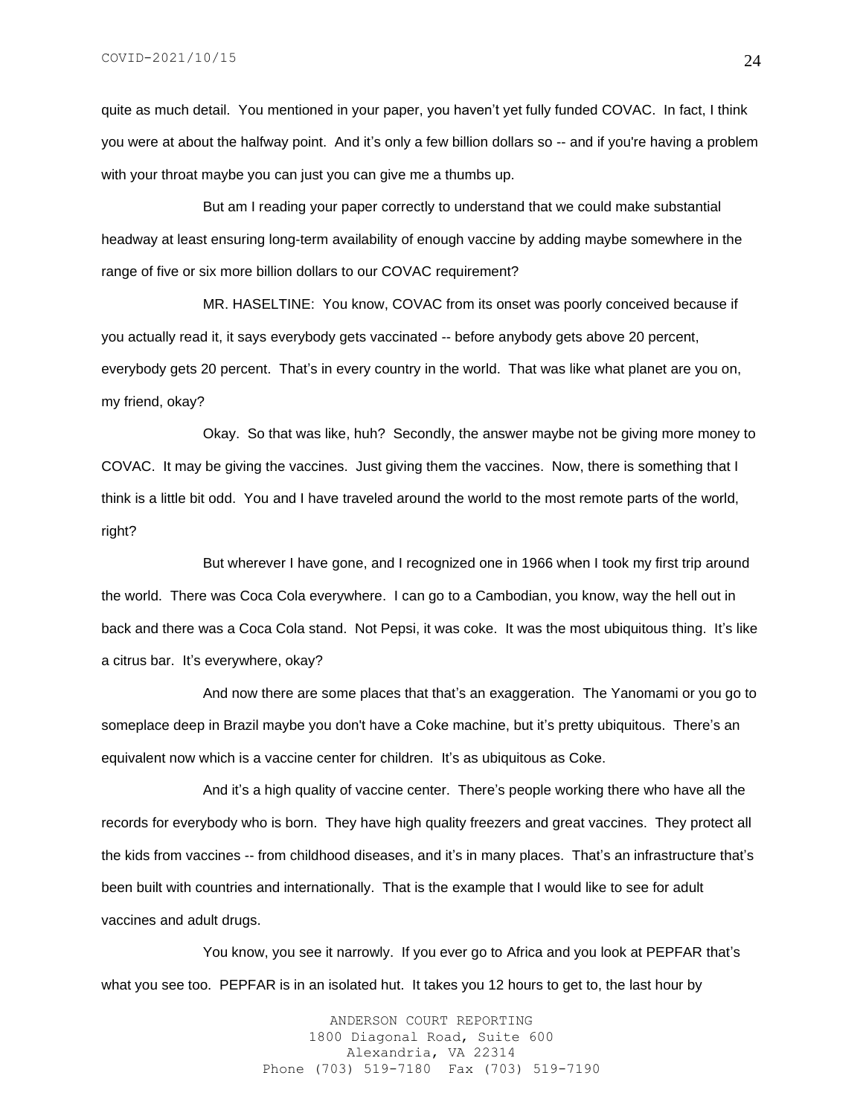quite as much detail. You mentioned in your paper, you haven't yet fully funded COVAC. In fact, I think you were at about the halfway point. And it's only a few billion dollars so -- and if you're having a problem with your throat maybe you can just you can give me a thumbs up.

But am I reading your paper correctly to understand that we could make substantial headway at least ensuring long-term availability of enough vaccine by adding maybe somewhere in the range of five or six more billion dollars to our COVAC requirement?

MR. HASELTINE: You know, COVAC from its onset was poorly conceived because if you actually read it, it says everybody gets vaccinated -- before anybody gets above 20 percent, everybody gets 20 percent. That's in every country in the world. That was like what planet are you on, my friend, okay?

Okay. So that was like, huh? Secondly, the answer maybe not be giving more money to COVAC. It may be giving the vaccines. Just giving them the vaccines. Now, there is something that I think is a little bit odd. You and I have traveled around the world to the most remote parts of the world, right?

But wherever I have gone, and I recognized one in 1966 when I took my first trip around the world. There was Coca Cola everywhere. I can go to a Cambodian, you know, way the hell out in back and there was a Coca Cola stand. Not Pepsi, it was coke. It was the most ubiquitous thing. It's like a citrus bar. It's everywhere, okay?

And now there are some places that that's an exaggeration. The Yanomami or you go to someplace deep in Brazil maybe you don't have a Coke machine, but it's pretty ubiquitous. There's an equivalent now which is a vaccine center for children. It's as ubiquitous as Coke.

And it's a high quality of vaccine center. There's people working there who have all the records for everybody who is born. They have high quality freezers and great vaccines. They protect all the kids from vaccines -- from childhood diseases, and it's in many places. That's an infrastructure that's been built with countries and internationally. That is the example that I would like to see for adult vaccines and adult drugs.

You know, you see it narrowly. If you ever go to Africa and you look at PEPFAR that's what you see too. PEPFAR is in an isolated hut. It takes you 12 hours to get to, the last hour by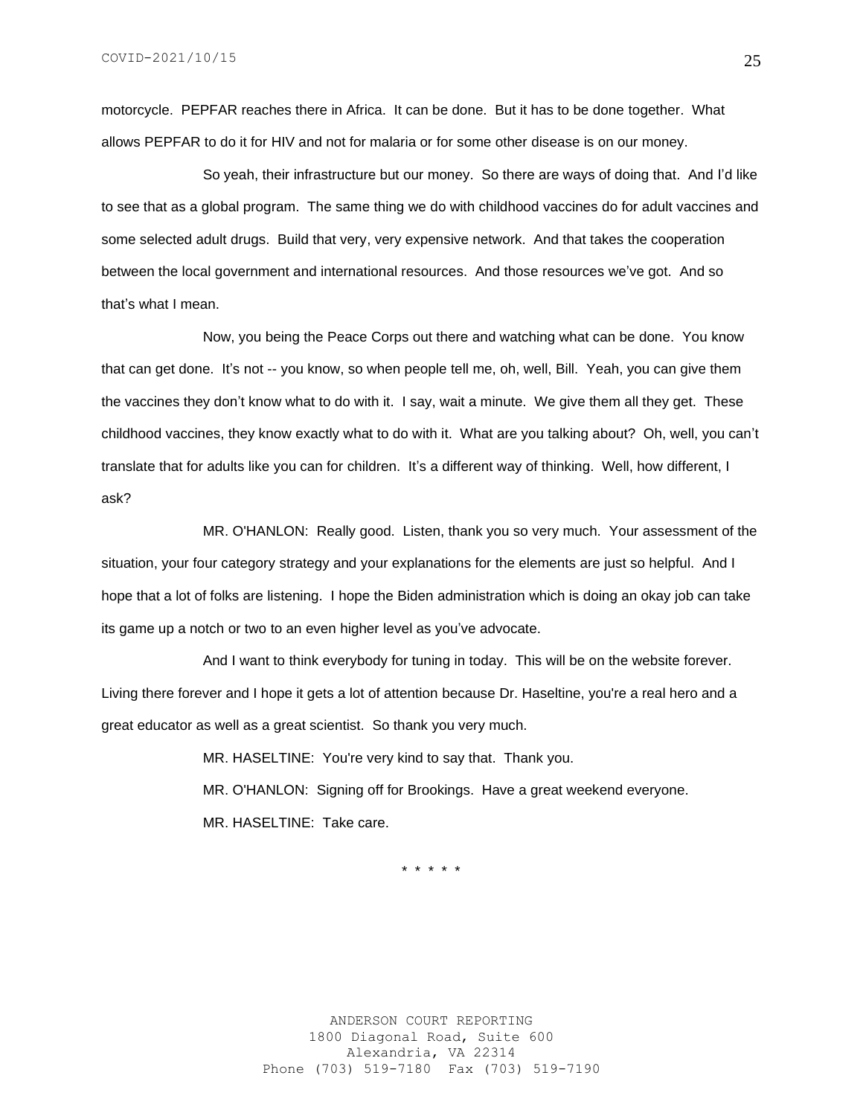motorcycle. PEPFAR reaches there in Africa. It can be done. But it has to be done together. What allows PEPFAR to do it for HIV and not for malaria or for some other disease is on our money.

So yeah, their infrastructure but our money. So there are ways of doing that. And I'd like to see that as a global program. The same thing we do with childhood vaccines do for adult vaccines and some selected adult drugs. Build that very, very expensive network. And that takes the cooperation between the local government and international resources. And those resources we've got. And so that's what I mean.

Now, you being the Peace Corps out there and watching what can be done. You know that can get done. It's not -- you know, so when people tell me, oh, well, Bill. Yeah, you can give them the vaccines they don't know what to do with it. I say, wait a minute. We give them all they get. These childhood vaccines, they know exactly what to do with it. What are you talking about? Oh, well, you can't translate that for adults like you can for children. It's a different way of thinking. Well, how different, I ask?

MR. O'HANLON: Really good. Listen, thank you so very much. Your assessment of the situation, your four category strategy and your explanations for the elements are just so helpful. And I hope that a lot of folks are listening. I hope the Biden administration which is doing an okay job can take its game up a notch or two to an even higher level as you've advocate.

And I want to think everybody for tuning in today. This will be on the website forever. Living there forever and I hope it gets a lot of attention because Dr. Haseltine, you're a real hero and a great educator as well as a great scientist. So thank you very much.

> MR. HASELTINE: You're very kind to say that. Thank you. MR. O'HANLON: Signing off for Brookings. Have a great weekend everyone. MR. HASELTINE: Take care.

> > \* \* \* \* \*